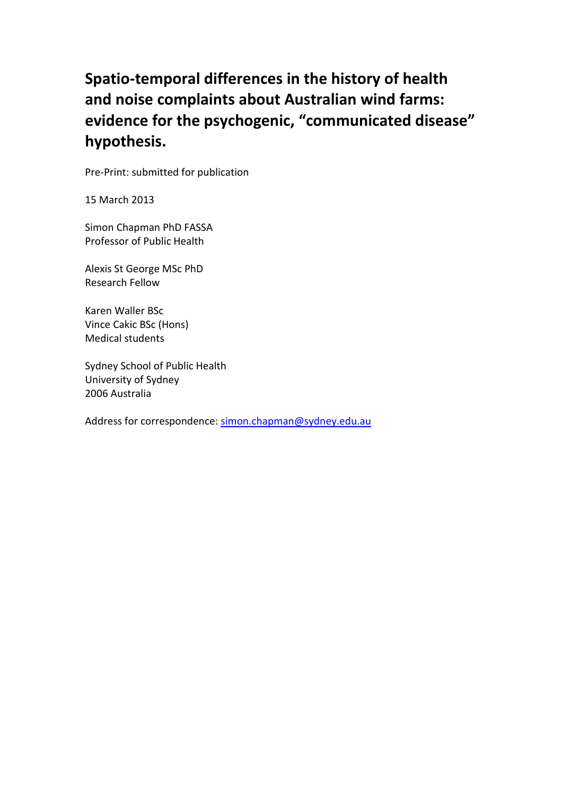# **Spatio-temporal differences in the history of health and noise complaints about Australian wind farms: evidence for the psychogenic, "communicated disease" hypothesis.**

Pre-Print: submitted for publication

15 March 2013

Simon Chapman PhD FASSA Professor of Public Health

Alexis St George MSc PhD Research Fellow

Karen Waller BSc Vince Cakic BSc (Hons) Medical students

Sydney School of Public Health University of Sydney 2006 Australia

Address for correspondence: [simon.chapman@sydney.edu.au](mailto:simon.chapman@sydney.edu.au)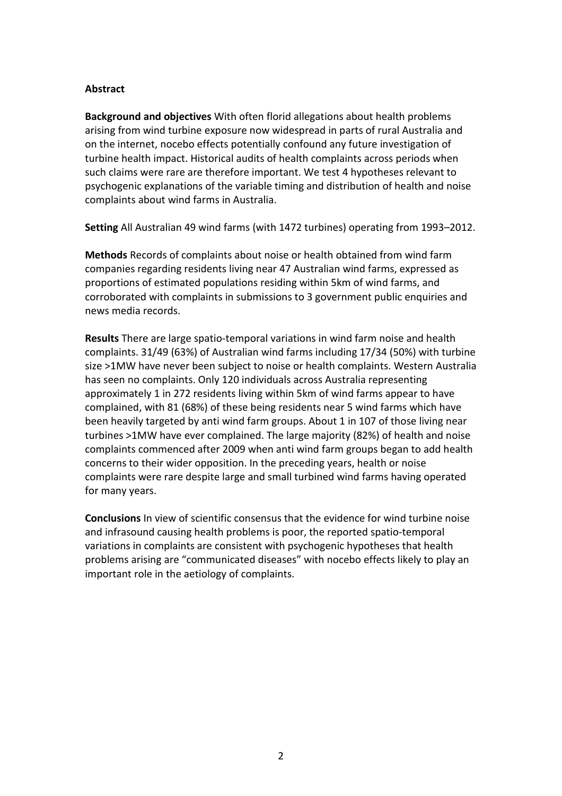#### **Abstract**

**Background and objectives** With often florid allegations about health problems arising from wind turbine exposure now widespread in parts of rural Australia and on the internet, nocebo effects potentially confound any future investigation of turbine health impact. Historical audits of health complaints across periods when such claims were rare are therefore important. We test 4 hypotheses relevant to psychogenic explanations of the variable timing and distribution of health and noise complaints about wind farms in Australia.

**Setting** All Australian 49 wind farms (with 1472 turbines) operating from 1993–2012.

**Methods** Records of complaints about noise or health obtained from wind farm companies regarding residents living near 47 Australian wind farms, expressed as proportions of estimated populations residing within 5km of wind farms, and corroborated with complaints in submissions to 3 government public enquiries and news media records.

**Results** There are large spatio-temporal variations in wind farm noise and health complaints. 31/49 (63%) of Australian wind farms including 17/34 (50%) with turbine size >1MW have never been subject to noise or health complaints. Western Australia has seen no complaints. Only 120 individuals across Australia representing approximately 1 in 272 residents living within 5km of wind farms appear to have complained, with 81 (68%) of these being residents near 5 wind farms which have been heavily targeted by anti wind farm groups. About 1 in 107 of those living near turbines >1MW have ever complained. The large majority (82%) of health and noise complaints commenced after 2009 when anti wind farm groups began to add health concerns to their wider opposition. In the preceding years, health or noise complaints were rare despite large and small turbined wind farms having operated for many years.

**Conclusions** In view of scientific consensus that the evidence for wind turbine noise and infrasound causing health problems is poor, the reported spatio-temporal variations in complaints are consistent with psychogenic hypotheses that health problems arising are "communicated diseases" with nocebo effects likely to play an important role in the aetiology of complaints.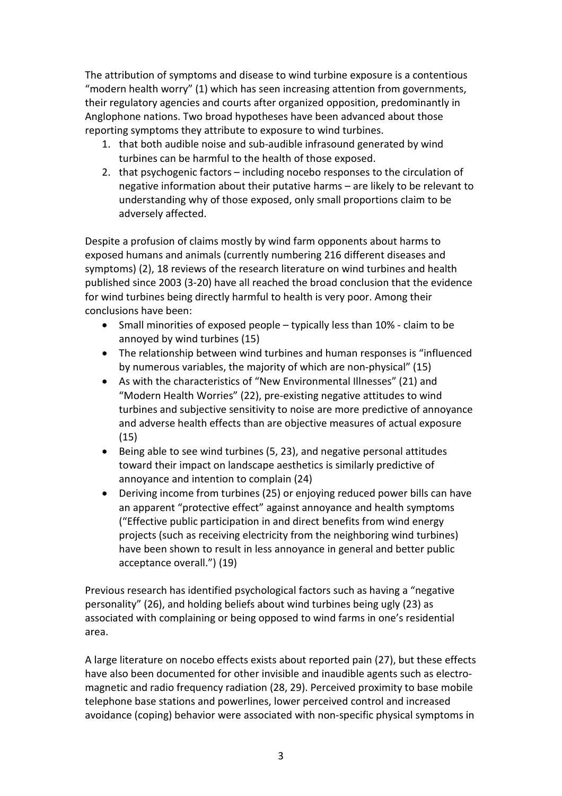The attribution of symptoms and disease to wind turbine exposure is a contentious "modern health worry" [\(1\)](#page-21-0) which has seen increasing attention from governments, their regulatory agencies and courts after organized opposition, predominantly in Anglophone nations. Two broad hypotheses have been advanced about those reporting symptoms they attribute to exposure to wind turbines.

- 1. that both audible noise and sub-audible infrasound generated by wind turbines can be harmful to the health of those exposed.
- 2. that psychogenic factors including nocebo responses to the circulation of negative information about their putative harms – are likely to be relevant to understanding why of those exposed, only small proportions claim to be adversely affected.

Despite a profusion of claims mostly by wind farm opponents about harms to exposed humans and animals (currently numbering 216 different diseases and symptoms) [\(2\)](#page-21-1), 18 reviews of the research literature on wind turbines and health published since 2003 [\(3-20\)](#page-21-2) have all reached the broad conclusion that the evidence for wind turbines being directly harmful to health is very poor. Among their conclusions have been:

- Small minorities of exposed people typically less than 10% claim to be annoyed by wind turbines [\(15\)](#page-22-0)
- The relationship between wind turbines and human responses is "influenced by numerous variables, the majority of which are non-physical" [\(15\)](#page-22-0)
- As with the characteristics of "New Environmental Illnesses" [\(21\)](#page-22-1) and "Modern Health Worries" [\(22\)](#page-22-2), pre-existing negative attitudes to wind turbines and subjective sensitivity to noise are more predictive of annoyance and adverse health effects than are objective measures of actual exposure [\(15\)](#page-22-0)
- Being able to see wind turbines [\(5,](#page-21-3) [23\)](#page-22-3), and negative personal attitudes toward their impact on landscape aesthetics is similarly predictive of annoyance and intention to complain [\(24\)](#page-22-4)
- Deriving income from turbines [\(25\)](#page-22-5) or enjoying reduced power bills can have an apparent "protective effect" against annoyance and health symptoms ("Effective public participation in and direct benefits from wind energy projects (such as receiving electricity from the neighboring wind turbines) have been shown to result in less annoyance in general and better public acceptance overall.") [\(19\)](#page-22-6)

Previous research has identified psychological factors such as having a "negative personality" [\(26\)](#page-22-7), and holding beliefs about wind turbines being ugly [\(23\)](#page-22-3) as associated with complaining or being opposed to wind farms in one's residential area.

A large literature on nocebo effects exists about reported pain [\(27\)](#page-23-0), but these effects have also been documented for other invisible and inaudible agents such as electromagnetic and radio frequency radiation [\(28,](#page-23-1) [29\)](#page-23-2). Perceived proximity to base mobile telephone base stations and powerlines, lower perceived control and increased avoidance (coping) behavior were associated with non-specific physical symptoms in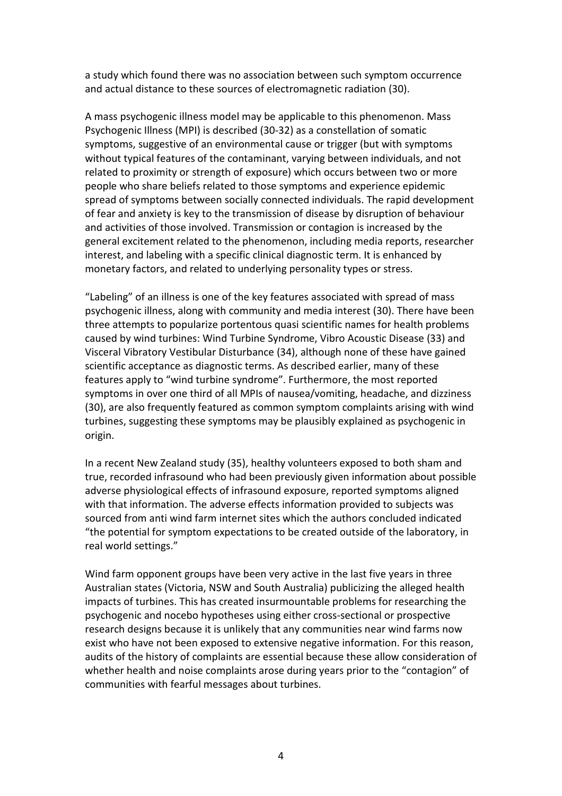a study which found there was no association between such symptom occurrence and actual distance to these sources of electromagnetic radiation [\(30\)](#page-23-3).

A mass psychogenic illness model may be applicable to this phenomenon. Mass Psychogenic Illness (MPI) is described [\(30-32\)](#page-23-3) as a constellation of somatic symptoms, suggestive of an environmental cause or trigger (but with symptoms without typical features of the contaminant, varying between individuals, and not related to proximity or strength of exposure) which occurs between two or more people who share beliefs related to those symptoms and experience epidemic spread of symptoms between socially connected individuals. The rapid development of fear and anxiety is key to the transmission of disease by disruption of behaviour and activities of those involved. Transmission or contagion is increased by the general excitement related to the phenomenon, including media reports, researcher interest, and labeling with a specific clinical diagnostic term. It is enhanced by monetary factors, and related to underlying personality types or stress.

"Labeling" of an illness is one of the key features associated with spread of mass psychogenic illness, along with community and media interest [\(30\)](#page-23-3). There have been three attempts to popularize portentous quasi scientific names for health problems caused by wind turbines: Wind Turbine Syndrome, Vibro Acoustic Disease [\(33\)](#page-23-4) and Visceral Vibratory Vestibular Disturbance [\(34\)](#page-23-5), although none of these have gained scientific acceptance as diagnostic terms. As described earlier, many of these features apply to "wind turbine syndrome". Furthermore, the most reported symptoms in over one third of all MPIs of nausea/vomiting, headache, and dizziness [\(30\)](#page-23-3), are also frequently featured as common symptom complaints arising with wind turbines, suggesting these symptoms may be plausibly explained as psychogenic in origin.

In a recent New Zealand study [\(35\)](#page-23-6), healthy volunteers exposed to both sham and true, recorded infrasound who had been previously given information about possible adverse physiological effects of infrasound exposure, reported symptoms aligned with that information. The adverse effects information provided to subjects was sourced from anti wind farm internet sites which the authors concluded indicated "the potential for symptom expectations to be created outside of the laboratory, in real world settings."

Wind farm opponent groups have been very active in the last five years in three Australian states (Victoria, NSW and South Australia) publicizing the alleged health impacts of turbines. This has created insurmountable problems for researching the psychogenic and nocebo hypotheses using either cross-sectional or prospective research designs because it is unlikely that any communities near wind farms now exist who have not been exposed to extensive negative information. For this reason, audits of the history of complaints are essential because these allow consideration of whether health and noise complaints arose during years prior to the "contagion" of communities with fearful messages about turbines.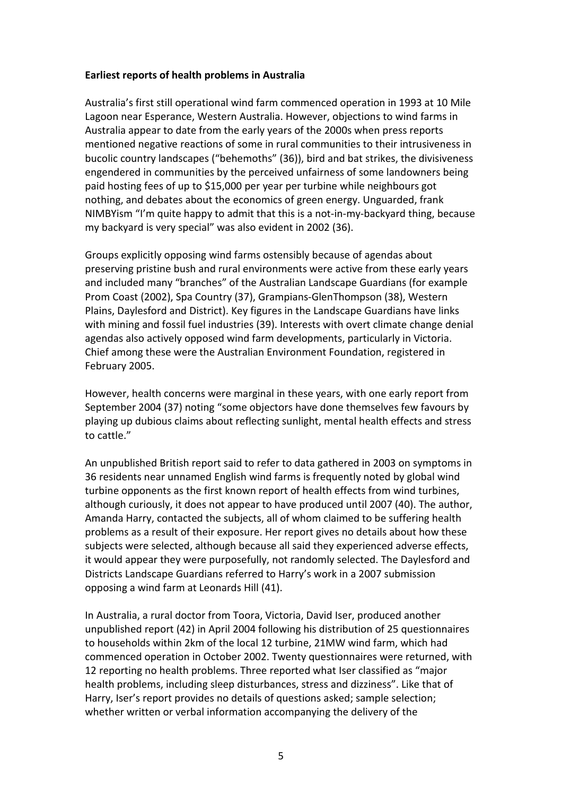#### **Earliest reports of health problems in Australia**

Australia's first still operational wind farm commenced operation in 1993 at 10 Mile Lagoon near Esperance, Western Australia. However, objections to wind farms in Australia appear to date from the early years of the 2000s when press reports mentioned negative reactions of some in rural communities to their intrusiveness in bucolic country landscapes ("behemoths" [\(36\)](#page-23-7)), bird and bat strikes, the divisiveness engendered in communities by the perceived unfairness of some landowners being paid hosting fees of up to \$15,000 per year per turbine while neighbours got nothing, and debates about the economics of green energy. Unguarded, frank NIMBYism "I'm quite happy to admit that this is a not-in-my-backyard thing, because my backyard is very special" was also evident in 2002 [\(36\)](#page-23-7).

Groups explicitly opposing wind farms ostensibly because of agendas about preserving pristine bush and rural environments were active from these early years and included many "branches" of the Australian Landscape Guardians (for example Prom Coast (2002), Spa Country [\(37\)](#page-23-8), Grampians-GlenThompson [\(38\)](#page-23-9), Western Plains, Daylesford and District). Key figures in the Landscape Guardians have links with mining and fossil fuel industries [\(39\)](#page-23-10). Interests with overt climate change denial agendas also actively opposed wind farm developments, particularly in Victoria. Chief among these were the Australian Environment Foundation, registered in February 2005.

However, health concerns were marginal in these years, with one early report from September 2004 [\(37\)](#page-23-8) noting "some objectors have done themselves few favours by playing up dubious claims about reflecting sunlight, mental health effects and stress to cattle."

An unpublished British report said to refer to data gathered in 2003 on symptoms in 36 residents near unnamed English wind farms is frequently noted by global wind turbine opponents as the first known report of health effects from wind turbines, although curiously, it does not appear to have produced until 2007 [\(40\)](#page-23-11). The author, Amanda Harry, contacted the subjects, all of whom claimed to be suffering health problems as a result of their exposure. Her report gives no details about how these subjects were selected, although because all said they experienced adverse effects, it would appear they were purposefully, not randomly selected. The Daylesford and Districts Landscape Guardians referred to Harry's work in a 2007 submission opposing a wind farm at Leonards Hill [\(41\)](#page-23-12).

In Australia, a rural doctor from Toora, Victoria, David Iser, produced another unpublished report [\(42\)](#page-23-13) in April 2004 following his distribution of 25 questionnaires to households within 2km of the local 12 turbine, 21MW wind farm, which had commenced operation in October 2002. Twenty questionnaires were returned, with 12 reporting no health problems. Three reported what Iser classified as "major health problems, including sleep disturbances, stress and dizziness". Like that of Harry, Iser's report provides no details of questions asked; sample selection; whether written or verbal information accompanying the delivery of the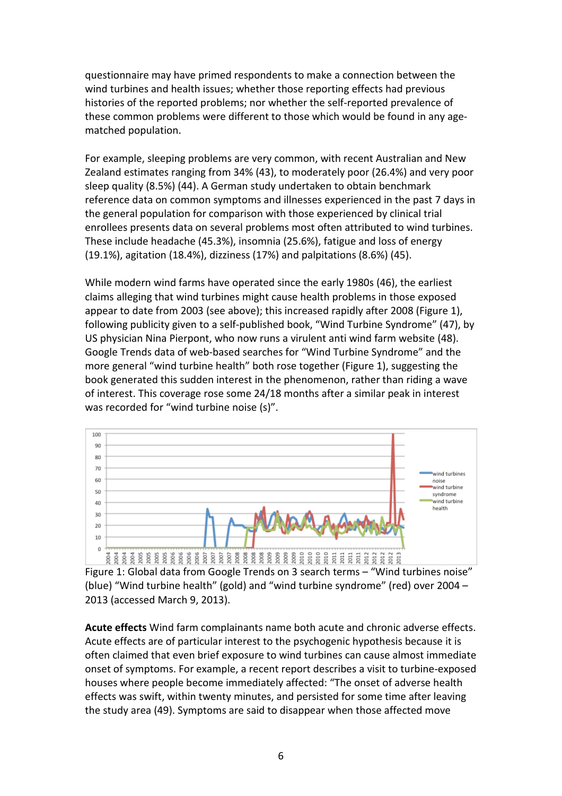questionnaire may have primed respondents to make a connection between the wind turbines and health issues; whether those reporting effects had previous histories of the reported problems; nor whether the self-reported prevalence of these common problems were different to those which would be found in any agematched population.

For example, sleeping problems are very common, with recent Australian and New Zealand estimates ranging from 34% [\(43\)](#page-24-0), to moderately poor (26.4%) and very poor sleep quality (8.5%) [\(44\)](#page-24-1). A German study undertaken to obtain benchmark reference data on common symptoms and illnesses experienced in the past 7 days in the general population for comparison with those experienced by clinical trial enrollees presents data on several problems most often attributed to wind turbines. These include headache (45.3%), insomnia (25.6%), fatigue and loss of energy (19.1%), agitation (18.4%), dizziness (17%) and palpitations (8.6%) [\(45\)](#page-24-2).

While modern wind farms have operated since the early 1980s [\(46\)](#page-24-3), the earliest claims alleging that wind turbines might cause health problems in those exposed appear to date from 2003 (see above); this increased rapidly after 2008 (Figure 1), following publicity given to a self-published book, "Wind Turbine Syndrome" [\(47\)](#page-24-4), by US physician Nina Pierpont, who now runs a virulent anti wind farm website [\(48\)](#page-24-5). Google Trends data of web-based searches for "Wind Turbine Syndrome" and the more general "wind turbine health" both rose together (Figure 1), suggesting the book generated this sudden interest in the phenomenon, rather than riding a wave of interest. This coverage rose some 24/18 months after a similar peak in interest was recorded for "wind turbine noise (s)".



Figure 1: Global data from Google Trends on 3 search terms – "Wind turbines noise" (blue) "Wind turbine health" (gold) and "wind turbine syndrome" (red) over 2004 – 2013 (accessed March 9, 2013).

**Acute effects** Wind farm complainants name both acute and chronic adverse effects. Acute effects are of particular interest to the psychogenic hypothesis because it is often claimed that even brief exposure to wind turbines can cause almost immediate onset of symptoms. For example, a recent report describes a visit to turbine-exposed houses where people become immediately affected: "The onset of adverse health effects was swift, within twenty minutes, and persisted for some time after leaving the study area [\(49\)](#page-24-6). Symptoms are said to disappear when those affected move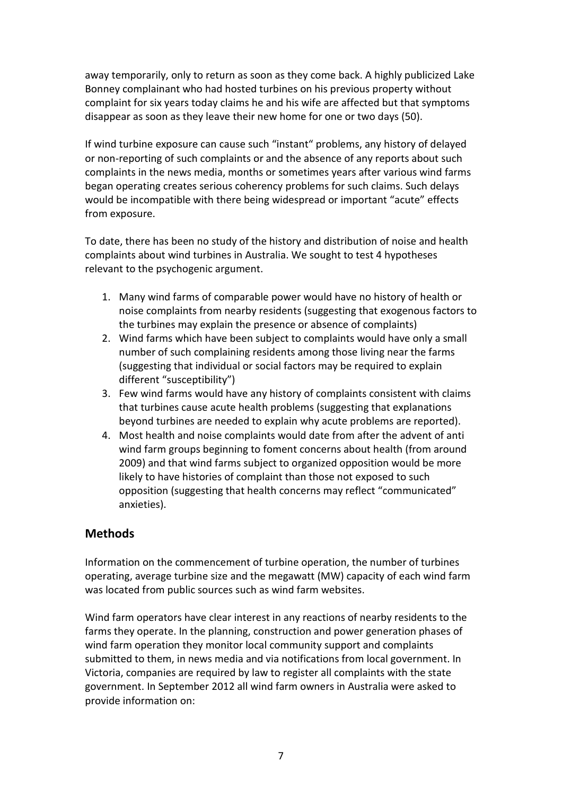away temporarily, only to return as soon as they come back. A highly publicized Lake Bonney complainant who had hosted turbines on his previous property without complaint for six years today claims he and his wife are affected but that symptoms disappear as soon as they leave their new home for one or two days [\(50\)](#page-24-7).

If wind turbine exposure can cause such "instant" problems, any history of delayed or non-reporting of such complaints or and the absence of any reports about such complaints in the news media, months or sometimes years after various wind farms began operating creates serious coherency problems for such claims. Such delays would be incompatible with there being widespread or important "acute" effects from exposure.

To date, there has been no study of the history and distribution of noise and health complaints about wind turbines in Australia. We sought to test 4 hypotheses relevant to the psychogenic argument.

- 1. Many wind farms of comparable power would have no history of health or noise complaints from nearby residents (suggesting that exogenous factors to the turbines may explain the presence or absence of complaints)
- 2. Wind farms which have been subject to complaints would have only a small number of such complaining residents among those living near the farms (suggesting that individual or social factors may be required to explain different "susceptibility")
- 3. Few wind farms would have any history of complaints consistent with claims that turbines cause acute health problems (suggesting that explanations beyond turbines are needed to explain why acute problems are reported).
- 4. Most health and noise complaints would date from after the advent of anti wind farm groups beginning to foment concerns about health (from around 2009) and that wind farms subject to organized opposition would be more likely to have histories of complaint than those not exposed to such opposition (suggesting that health concerns may reflect "communicated" anxieties).

## **Methods**

Information on the commencement of turbine operation, the number of turbines operating, average turbine size and the megawatt (MW) capacity of each wind farm was located from public sources such as wind farm websites.

Wind farm operators have clear interest in any reactions of nearby residents to the farms they operate. In the planning, construction and power generation phases of wind farm operation they monitor local community support and complaints submitted to them, in news media and via notifications from local government. In Victoria, companies are required by law to register all complaints with the state government. In September 2012 all wind farm owners in Australia were asked to provide information on: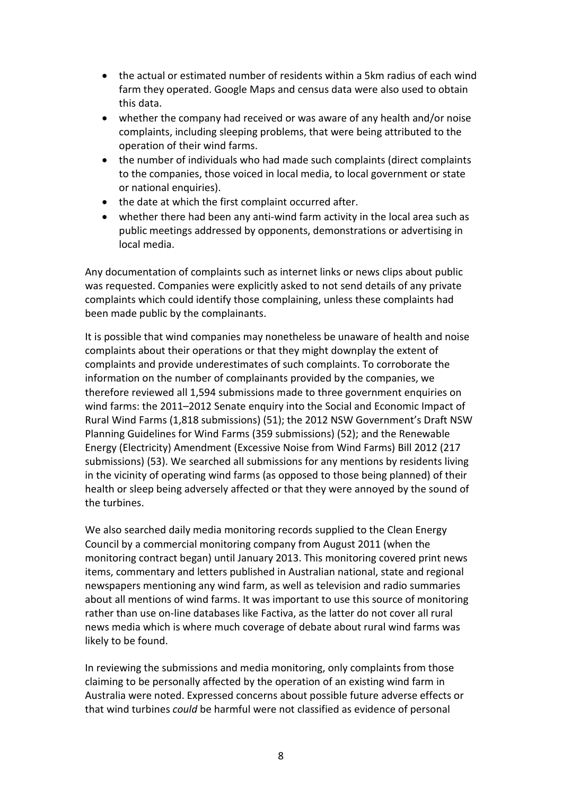- the actual or estimated number of residents within a 5km radius of each wind farm they operated. Google Maps and census data were also used to obtain this data.
- whether the company had received or was aware of any health and/or noise complaints, including sleeping problems, that were being attributed to the operation of their wind farms.
- the number of individuals who had made such complaints (direct complaints to the companies, those voiced in local media, to local government or state or national enquiries).
- the date at which the first complaint occurred after.
- whether there had been any anti-wind farm activity in the local area such as public meetings addressed by opponents, demonstrations or advertising in local media.

Any documentation of complaints such as internet links or news clips about public was requested. Companies were explicitly asked to not send details of any private complaints which could identify those complaining, unless these complaints had been made public by the complainants.

It is possible that wind companies may nonetheless be unaware of health and noise complaints about their operations or that they might downplay the extent of complaints and provide underestimates of such complaints. To corroborate the information on the number of complainants provided by the companies, we therefore reviewed all 1,594 submissions made to three government enquiries on wind farms: the 2011–2012 Senate enquiry into the Social and Economic Impact of Rural Wind Farms (1,818 submissions) [\(51\)](#page-24-8); the 2012 NSW Government's Draft NSW Planning Guidelines for Wind Farms (359 submissions) [\(52\)](#page-24-9); and the Renewable Energy (Electricity) Amendment (Excessive Noise from Wind Farms) Bill 2012 (217 submissions) [\(53\)](#page-24-10). We searched all submissions for any mentions by residents living in the vicinity of operating wind farms (as opposed to those being planned) of their health or sleep being adversely affected or that they were annoyed by the sound of the turbines.

We also searched daily media monitoring records supplied to the Clean Energy Council by a commercial monitoring company from August 2011 (when the monitoring contract began) until January 2013. This monitoring covered print news items, commentary and letters published in Australian national, state and regional newspapers mentioning any wind farm, as well as television and radio summaries about all mentions of wind farms. It was important to use this source of monitoring rather than use on-line databases like Factiva, as the latter do not cover all rural news media which is where much coverage of debate about rural wind farms was likely to be found.

In reviewing the submissions and media monitoring, only complaints from those claiming to be personally affected by the operation of an existing wind farm in Australia were noted. Expressed concerns about possible future adverse effects or that wind turbines *could* be harmful were not classified as evidence of personal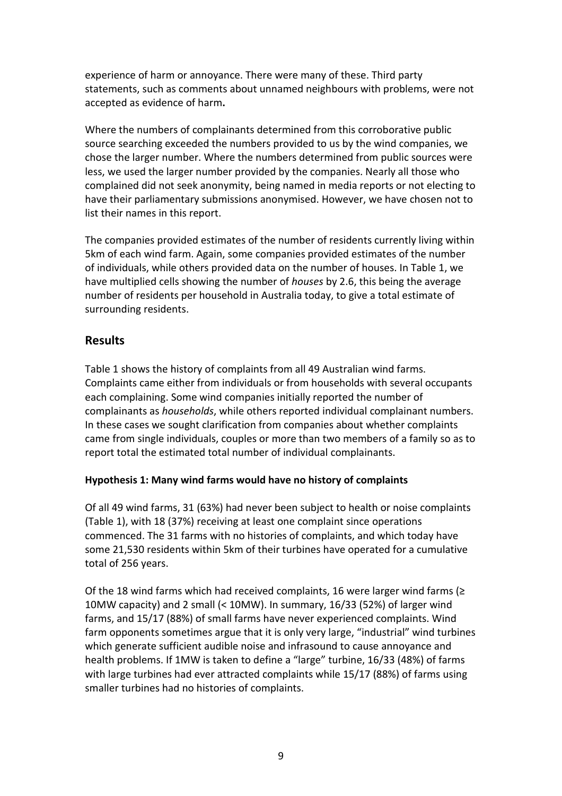experience of harm or annoyance. There were many of these. Third party statements, such as comments about unnamed neighbours with problems, were not accepted as evidence of harm**.**

Where the numbers of complainants determined from this corroborative public source searching exceeded the numbers provided to us by the wind companies, we chose the larger number. Where the numbers determined from public sources were less, we used the larger number provided by the companies. Nearly all those who complained did not seek anonymity, being named in media reports or not electing to have their parliamentary submissions anonymised. However, we have chosen not to list their names in this report.

The companies provided estimates of the number of residents currently living within 5km of each wind farm. Again, some companies provided estimates of the number of individuals, while others provided data on the number of houses. In Table 1, we have multiplied cells showing the number of *houses* by 2.6, this being the average number of residents per household in Australia today, to give a total estimate of surrounding residents.

## **Results**

Table 1 shows the history of complaints from all 49 Australian wind farms. Complaints came either from individuals or from households with several occupants each complaining. Some wind companies initially reported the number of complainants as *households*, while others reported individual complainant numbers. In these cases we sought clarification from companies about whether complaints came from single individuals, couples or more than two members of a family so as to report total the estimated total number of individual complainants.

#### **Hypothesis 1: Many wind farms would have no history of complaints**

Of all 49 wind farms, 31 (63%) had never been subject to health or noise complaints (Table 1), with 18 (37%) receiving at least one complaint since operations commenced. The 31 farms with no histories of complaints, and which today have some 21,530 residents within 5km of their turbines have operated for a cumulative total of 256 years.

Of the 18 wind farms which had received complaints, 16 were larger wind farms ( $\geq$ 10MW capacity) and 2 small (< 10MW). In summary, 16/33 (52%) of larger wind farms, and 15/17 (88%) of small farms have never experienced complaints. Wind farm opponents sometimes argue that it is only very large, "industrial" wind turbines which generate sufficient audible noise and infrasound to cause annoyance and health problems. If 1MW is taken to define a "large" turbine, 16/33 (48%) of farms with large turbines had ever attracted complaints while 15/17 (88%) of farms using smaller turbines had no histories of complaints.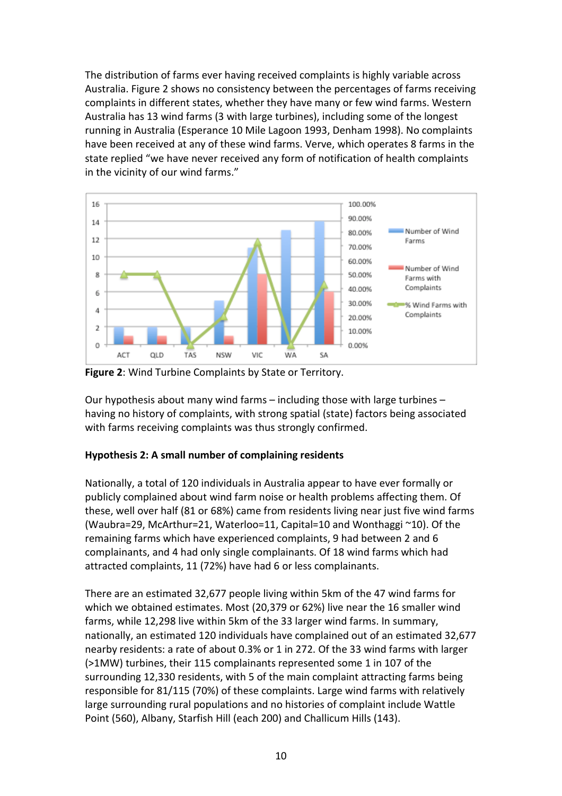The distribution of farms ever having received complaints is highly variable across Australia. Figure 2 shows no consistency between the percentages of farms receiving complaints in different states, whether they have many or few wind farms. Western Australia has 13 wind farms (3 with large turbines), including some of the longest running in Australia (Esperance 10 Mile Lagoon 1993, Denham 1998). No complaints have been received at any of these wind farms. Verve, which operates 8 farms in the state replied "we have never received any form of notification of health complaints in the vicinity of our wind farms."



**Figure 2**: Wind Turbine Complaints by State or Territory.

Our hypothesis about many wind farms – including those with large turbines – having no history of complaints, with strong spatial (state) factors being associated with farms receiving complaints was thus strongly confirmed.

### **Hypothesis 2: A small number of complaining residents**

Nationally, a total of 120 individuals in Australia appear to have ever formally or publicly complained about wind farm noise or health problems affecting them. Of these, well over half (81 or 68%) came from residents living near just five wind farms (Waubra=29, McArthur=21, Waterloo=11, Capital=10 and Wonthaggi ~10). Of the remaining farms which have experienced complaints, 9 had between 2 and 6 complainants, and 4 had only single complainants. Of 18 wind farms which had attracted complaints, 11 (72%) have had 6 or less complainants.

There are an estimated 32,677 people living within 5km of the 47 wind farms for which we obtained estimates. Most (20,379 or 62%) live near the 16 smaller wind farms, while 12,298 live within 5km of the 33 larger wind farms. In summary, nationally, an estimated 120 individuals have complained out of an estimated 32,677 nearby residents: a rate of about 0.3% or 1 in 272. Of the 33 wind farms with larger (>1MW) turbines, their 115 complainants represented some 1 in 107 of the surrounding 12,330 residents, with 5 of the main complaint attracting farms being responsible for 81/115 (70%) of these complaints. Large wind farms with relatively large surrounding rural populations and no histories of complaint include Wattle Point (560), Albany, Starfish Hill (each 200) and Challicum Hills (143).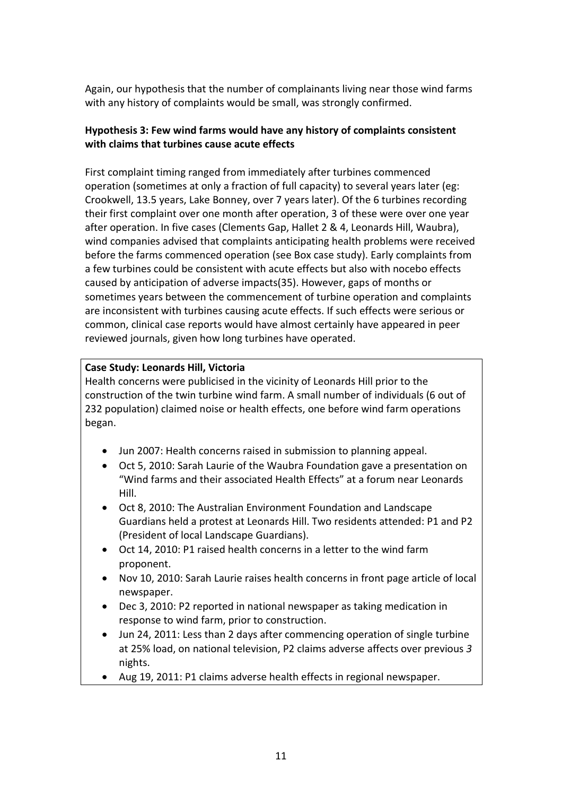Again, our hypothesis that the number of complainants living near those wind farms with any history of complaints would be small, was strongly confirmed.

## **Hypothesis 3: Few wind farms would have any history of complaints consistent with claims that turbines cause acute effects**

First complaint timing ranged from immediately after turbines commenced operation (sometimes at only a fraction of full capacity) to several years later (eg: Crookwell, 13.5 years, Lake Bonney, over 7 years later). Of the 6 turbines recording their first complaint over one month after operation, 3 of these were over one year after operation. In five cases (Clements Gap, Hallet 2 & 4, Leonards Hill, Waubra), wind companies advised that complaints anticipating health problems were received before the farms commenced operation (see Box case study). Early complaints from a few turbines could be consistent with acute effects but also with nocebo effects caused by anticipation of adverse impacts[\(35\)](#page-23-6). However, gaps of months or sometimes years between the commencement of turbine operation and complaints are inconsistent with turbines causing acute effects. If such effects were serious or common, clinical case reports would have almost certainly have appeared in peer reviewed journals, given how long turbines have operated.

## **Case Study: Leonards Hill, Victoria**

Health concerns were publicised in the vicinity of Leonards Hill prior to the construction of the twin turbine wind farm. A small number of individuals (6 out of 232 population) claimed noise or health effects, one before wind farm operations began.

- Jun 2007: Health concerns raised in submission to planning appeal.
- Oct 5, 2010: Sarah Laurie of the Waubra Foundation gave a presentation on "Wind farms and their associated Health Effects" at a forum near Leonards Hill.
- Oct 8, 2010: The Australian Environment Foundation and Landscape Guardians held a protest at Leonards Hill. Two residents attended: P1 and P2 (President of local Landscape Guardians).
- Oct 14, 2010: P1 raised health concerns in a letter to the wind farm proponent.
- Nov 10, 2010: Sarah Laurie raises health concerns in front page article of local newspaper.
- Dec 3, 2010: P2 reported in national newspaper as taking medication in response to wind farm, prior to construction.
- Jun 24, 2011: Less than 2 days after commencing operation of single turbine at 25% load, on national television, P2 claims adverse affects over previous *3* nights.
- Aug 19, 2011: P1 claims adverse health effects in regional newspaper.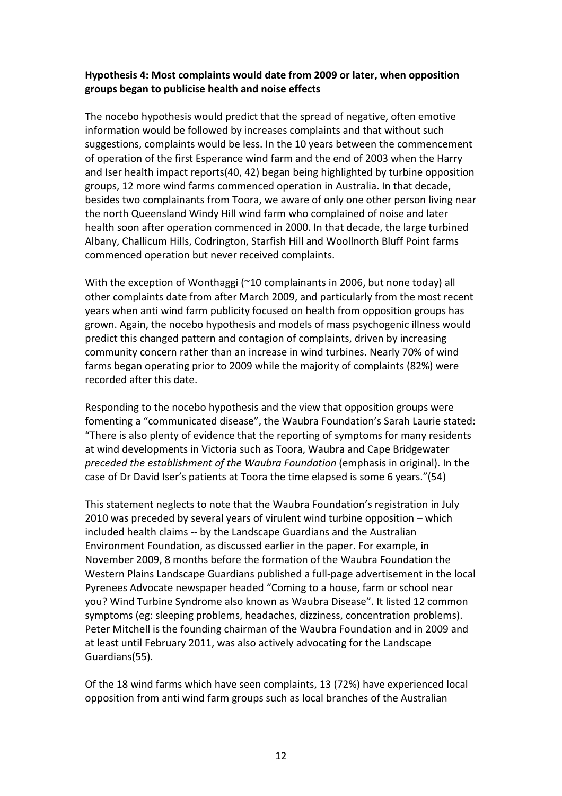## **Hypothesis 4: Most complaints would date from 2009 or later, when opposition groups began to publicise health and noise effects**

The nocebo hypothesis would predict that the spread of negative, often emotive information would be followed by increases complaints and that without such suggestions, complaints would be less. In the 10 years between the commencement of operation of the first Esperance wind farm and the end of 2003 when the Harry and Iser health impact reports[\(40,](#page-23-11) [42\)](#page-23-13) began being highlighted by turbine opposition groups, 12 more wind farms commenced operation in Australia. In that decade, besides two complainants from Toora, we aware of only one other person living near the north Queensland Windy Hill wind farm who complained of noise and later health soon after operation commenced in 2000. In that decade, the large turbined Albany, Challicum Hills, Codrington, Starfish Hill and Woollnorth Bluff Point farms commenced operation but never received complaints.

With the exception of Wonthaggi (~10 complainants in 2006, but none today) all other complaints date from after March 2009, and particularly from the most recent years when anti wind farm publicity focused on health from opposition groups has grown. Again, the nocebo hypothesis and models of mass psychogenic illness would predict this changed pattern and contagion of complaints, driven by increasing community concern rather than an increase in wind turbines. Nearly 70% of wind farms began operating prior to 2009 while the majority of complaints (82%) were recorded after this date.

Responding to the nocebo hypothesis and the view that opposition groups were fomenting a "communicated disease", the Waubra Foundation's Sarah Laurie stated: "There is also plenty of evidence that the reporting of symptoms for many residents at wind developments in Victoria such as Toora, Waubra and Cape Bridgewater *preceded the establishment of the Waubra Foundation* (emphasis in original). In the case of Dr David Iser's patients at Toora the time elapsed is some 6 years."[\(54\)](#page-24-11)

This statement neglects to note that the Waubra Foundation's registration in July 2010 was preceded by several years of virulent wind turbine opposition – which included health claims -- by the Landscape Guardians and the Australian Environment Foundation, as discussed earlier in the paper. For example, in November 2009, 8 months before the formation of the Waubra Foundation the Western Plains Landscape Guardians published a full-page advertisement in the local Pyrenees Advocate newspaper headed "Coming to a house, farm or school near you? Wind Turbine Syndrome also known as Waubra Disease". It listed 12 common symptoms (eg: sleeping problems, headaches, dizziness, concentration problems). Peter Mitchell is the founding chairman of the Waubra Foundation and in 2009 and at least until February 2011, was also actively advocating for the Landscape Guardians[\(55\)](#page-25-0).

Of the 18 wind farms which have seen complaints, 13 (72%) have experienced local opposition from anti wind farm groups such as local branches of the Australian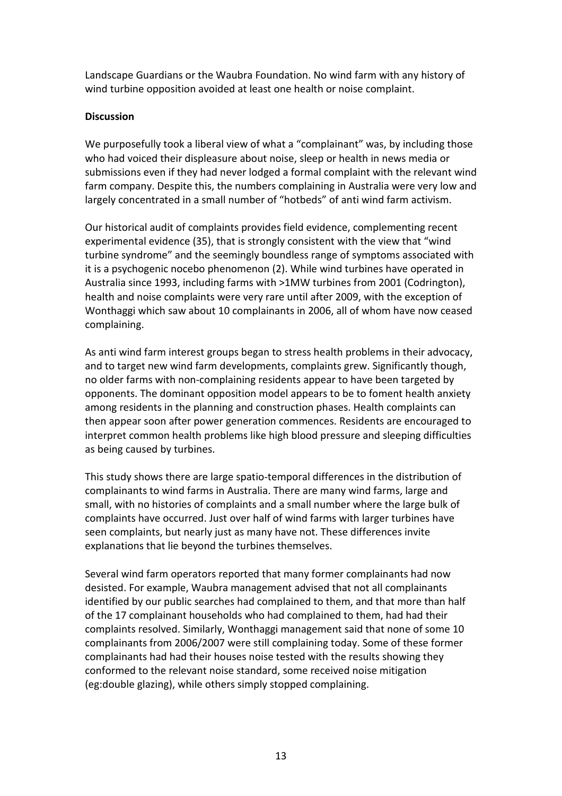Landscape Guardians or the Waubra Foundation. No wind farm with any history of wind turbine opposition avoided at least one health or noise complaint.

#### **Discussion**

We purposefully took a liberal view of what a "complainant" was, by including those who had voiced their displeasure about noise, sleep or health in news media or submissions even if they had never lodged a formal complaint with the relevant wind farm company. Despite this, the numbers complaining in Australia were very low and largely concentrated in a small number of "hotbeds" of anti wind farm activism.

Our historical audit of complaints provides field evidence, complementing recent experimental evidence [\(35\)](#page-23-6), that is strongly consistent with the view that "wind turbine syndrome" and the seemingly boundless range of symptoms associated with it is a psychogenic nocebo phenomenon [\(2\)](#page-21-1). While wind turbines have operated in Australia since 1993, including farms with >1MW turbines from 2001 (Codrington), health and noise complaints were very rare until after 2009, with the exception of Wonthaggi which saw about 10 complainants in 2006, all of whom have now ceased complaining.

As anti wind farm interest groups began to stress health problems in their advocacy, and to target new wind farm developments, complaints grew. Significantly though, no older farms with non-complaining residents appear to have been targeted by opponents. The dominant opposition model appears to be to foment health anxiety among residents in the planning and construction phases. Health complaints can then appear soon after power generation commences. Residents are encouraged to interpret common health problems like high blood pressure and sleeping difficulties as being caused by turbines.

This study shows there are large spatio-temporal differences in the distribution of complainants to wind farms in Australia. There are many wind farms, large and small, with no histories of complaints and a small number where the large bulk of complaints have occurred. Just over half of wind farms with larger turbines have seen complaints, but nearly just as many have not. These differences invite explanations that lie beyond the turbines themselves.

Several wind farm operators reported that many former complainants had now desisted. For example, Waubra management advised that not all complainants identified by our public searches had complained to them, and that more than half of the 17 complainant households who had complained to them, had had their complaints resolved. Similarly, Wonthaggi management said that none of some 10 complainants from 2006/2007 were still complaining today. Some of these former complainants had had their houses noise tested with the results showing they conformed to the relevant noise standard, some received noise mitigation (eg:double glazing), while others simply stopped complaining.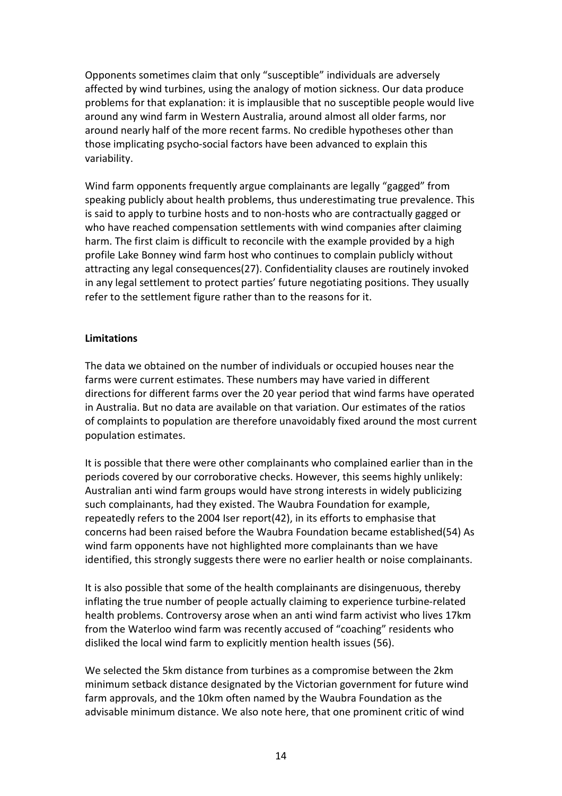Opponents sometimes claim that only "susceptible" individuals are adversely affected by wind turbines, using the analogy of motion sickness. Our data produce problems for that explanation: it is implausible that no susceptible people would live around any wind farm in Western Australia, around almost all older farms, nor around nearly half of the more recent farms. No credible hypotheses other than those implicating psycho-social factors have been advanced to explain this variability.

Wind farm opponents frequently argue complainants are legally "gagged" from speaking publicly about health problems, thus underestimating true prevalence. This is said to apply to turbine hosts and to non-hosts who are contractually gagged or who have reached compensation settlements with wind companies after claiming harm. The first claim is difficult to reconcile with the example provided by a high profile Lake Bonney wind farm host who continues to complain publicly without attracting any legal consequences[\(27\)](#page-23-0). Confidentiality clauses are routinely invoked in any legal settlement to protect parties' future negotiating positions. They usually refer to the settlement figure rather than to the reasons for it.

#### **Limitations**

The data we obtained on the number of individuals or occupied houses near the farms were current estimates. These numbers may have varied in different directions for different farms over the 20 year period that wind farms have operated in Australia. But no data are available on that variation. Our estimates of the ratios of complaints to population are therefore unavoidably fixed around the most current population estimates.

It is possible that there were other complainants who complained earlier than in the periods covered by our corroborative checks. However, this seems highly unlikely: Australian anti wind farm groups would have strong interests in widely publicizing such complainants, had they existed. The Waubra Foundation for example, repeatedly refers to the 2004 Iser report[\(42\)](#page-23-13), in its efforts to emphasise that concerns had been raised before the Waubra Foundation became established[\(54\)](#page-24-11) As wind farm opponents have not highlighted more complainants than we have identified, this strongly suggests there were no earlier health or noise complainants.

It is also possible that some of the health complainants are disingenuous, thereby inflating the true number of people actually claiming to experience turbine-related health problems. Controversy arose when an anti wind farm activist who lives 17km from the Waterloo wind farm was recently accused of "coaching" residents who disliked the local wind farm to explicitly mention health issues [\(56\)](#page-25-1).

We selected the 5km distance from turbines as a compromise between the 2km minimum setback distance designated by the Victorian government for future wind farm approvals, and the 10km often named by the Waubra Foundation as the advisable minimum distance. We also note here, that one prominent critic of wind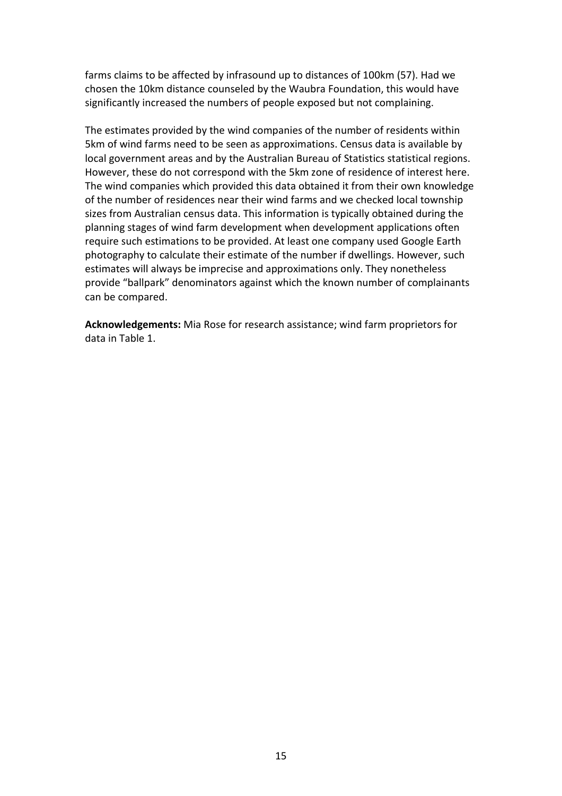farms claims to be affected by infrasound up to distances of 100km [\(57\)](#page-25-2). Had we chosen the 10km distance counseled by the Waubra Foundation, this would have significantly increased the numbers of people exposed but not complaining.

The estimates provided by the wind companies of the number of residents within 5km of wind farms need to be seen as approximations. Census data is available by local government areas and by the Australian Bureau of Statistics statistical regions. However, these do not correspond with the 5km zone of residence of interest here. The wind companies which provided this data obtained it from their own knowledge of the number of residences near their wind farms and we checked local township sizes from Australian census data. This information is typically obtained during the planning stages of wind farm development when development applications often require such estimations to be provided. At least one company used Google Earth photography to calculate their estimate of the number if dwellings. However, such estimates will always be imprecise and approximations only. They nonetheless provide "ballpark" denominators against which the known number of complainants can be compared.

**Acknowledgements:** Mia Rose for research assistance; wind farm proprietors for data in Table 1.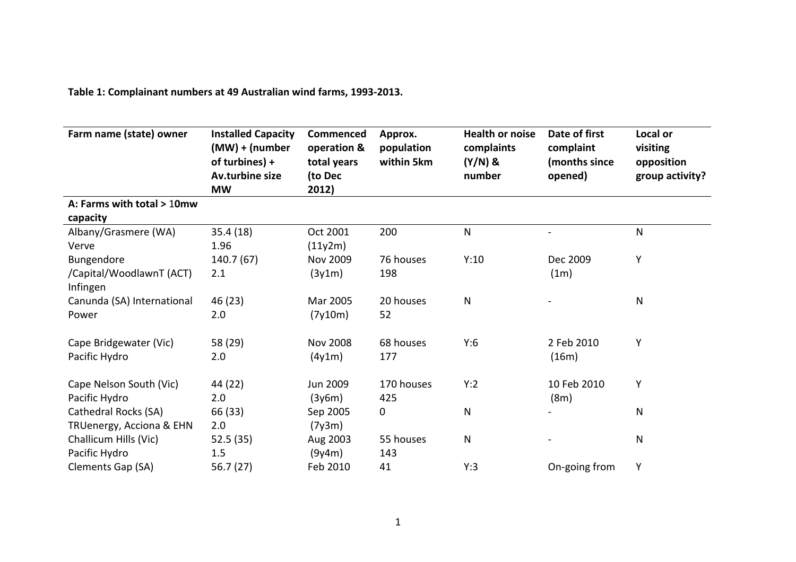**Table 1: Complainant numbers at 49 Australian wind farms, 1993-2013.**

| Farm name (state) owner              | <b>Installed Capacity</b><br>$(MW) + (number)$<br>of turbines) +<br>Av.turbine size<br><b>MW</b> | Commenced<br>operation &<br>total years<br>(to Dec<br>2012) | Approx.<br>population<br>within 5km | <b>Health or noise</b><br>complaints<br>$(Y/N)$ &<br>number | Date of first<br>complaint<br>(months since<br>opened) | Local or<br>visiting<br>opposition<br>group activity? |
|--------------------------------------|--------------------------------------------------------------------------------------------------|-------------------------------------------------------------|-------------------------------------|-------------------------------------------------------------|--------------------------------------------------------|-------------------------------------------------------|
| A: Farms with total > 10mw           |                                                                                                  |                                                             |                                     |                                                             |                                                        |                                                       |
| capacity                             |                                                                                                  |                                                             |                                     |                                                             |                                                        |                                                       |
| Albany/Grasmere (WA)                 | 35.4 (18)                                                                                        | Oct 2001                                                    | 200                                 | $\mathsf{N}$                                                |                                                        | $\mathsf{N}$                                          |
| Verve                                | 1.96                                                                                             | (11y2m)                                                     |                                     |                                                             |                                                        |                                                       |
| Bungendore                           | 140.7 (67)                                                                                       | <b>Nov 2009</b>                                             | 76 houses                           | Y:10                                                        | Dec 2009                                               | Υ                                                     |
| /Capital/WoodlawnT (ACT)<br>Infingen | 2.1                                                                                              | (3y1m)                                                      | 198                                 |                                                             | (1m)                                                   |                                                       |
| Canunda (SA) International           | 46 (23)                                                                                          | Mar 2005                                                    | 20 houses                           | $\mathsf{N}$                                                |                                                        | $\mathsf{N}$                                          |
| Power                                | 2.0                                                                                              | (7y10m)                                                     | 52                                  |                                                             |                                                        |                                                       |
| Cape Bridgewater (Vic)               | 58 (29)                                                                                          | <b>Nov 2008</b>                                             | 68 houses                           | Y:6                                                         | 2 Feb 2010                                             | Υ                                                     |
| Pacific Hydro                        | 2.0                                                                                              | (4y1m)                                                      | 177                                 |                                                             | (16m)                                                  |                                                       |
| Cape Nelson South (Vic)              | 44 (22)                                                                                          | <b>Jun 2009</b>                                             | 170 houses                          | Y:2                                                         | 10 Feb 2010                                            | Υ                                                     |
| Pacific Hydro                        | 2.0                                                                                              | (3y6m)                                                      | 425                                 |                                                             | (8m)                                                   |                                                       |
| Cathedral Rocks (SA)                 | 66 (33)                                                                                          | Sep 2005                                                    | $\mathbf 0$                         | $\mathsf{N}$                                                |                                                        | N                                                     |
| TRUenergy, Acciona & EHN             | 2.0                                                                                              | (7y3m)                                                      |                                     |                                                             |                                                        |                                                       |
| Challicum Hills (Vic)                | 52.5(35)                                                                                         | Aug 2003                                                    | 55 houses                           | ${\sf N}$                                                   |                                                        | N                                                     |
| Pacific Hydro                        | 1.5                                                                                              | (9y4m)                                                      | 143                                 |                                                             |                                                        |                                                       |
| Clements Gap (SA)                    | 56.7 (27)                                                                                        | Feb 2010                                                    | 41                                  | Y:3                                                         | On-going from                                          | Υ                                                     |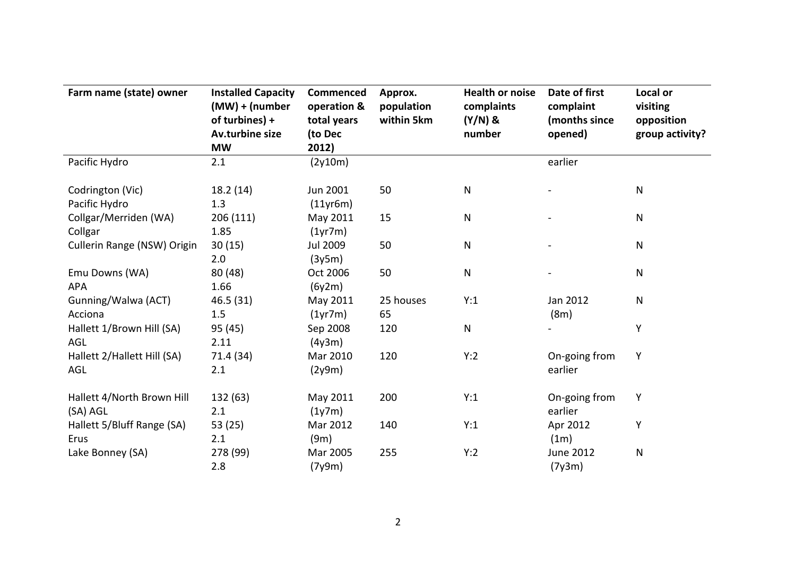| Farm name (state) owner                   | <b>Installed Capacity</b><br>(MW) + (number<br>of turbines) +<br>Av.turbine size<br><b>MW</b> | <b>Commenced</b><br>operation &<br>total years<br>(to Dec<br>2012) | Approx.<br>population<br>within 5km | <b>Health or noise</b><br>complaints<br>$(Y/N)$ &<br>number | Date of first<br>complaint<br>(months since<br>opened) | Local or<br>visiting<br>opposition<br>group activity? |
|-------------------------------------------|-----------------------------------------------------------------------------------------------|--------------------------------------------------------------------|-------------------------------------|-------------------------------------------------------------|--------------------------------------------------------|-------------------------------------------------------|
| Pacific Hydro                             | 2.1                                                                                           | (2y10m)                                                            |                                     |                                                             | earlier                                                |                                                       |
| Codrington (Vic)<br>Pacific Hydro         | 18.2 (14)<br>1.3                                                                              | Jun 2001<br>(11yr6m)                                               | 50                                  | N                                                           |                                                        | ${\sf N}$                                             |
| Collgar/Merriden (WA)<br>Collgar          | 206(111)<br>1.85                                                                              | May 2011<br>(1yr7m)                                                | 15                                  | N                                                           |                                                        | $\mathsf{N}$                                          |
| Cullerin Range (NSW) Origin               | 30(15)<br>2.0                                                                                 | <b>Jul 2009</b><br>(3y5m)                                          | 50                                  | N                                                           |                                                        | $\mathsf{N}$                                          |
| Emu Downs (WA)<br><b>APA</b>              | 80 (48)<br>1.66                                                                               | Oct 2006<br>(6y2m)                                                 | 50                                  | N                                                           |                                                        | ${\sf N}$                                             |
| Gunning/Walwa (ACT)<br>Acciona            | 46.5 (31)<br>1.5                                                                              | May 2011<br>(1yr7m)                                                | 25 houses<br>65                     | Y:1                                                         | Jan 2012<br>(8m)                                       | $\mathsf{N}$                                          |
| Hallett 1/Brown Hill (SA)<br><b>AGL</b>   | 95 (45)<br>2.11                                                                               | Sep 2008<br>(4y3m)                                                 | 120                                 | N                                                           |                                                        | Υ                                                     |
| Hallett 2/Hallett Hill (SA)<br><b>AGL</b> | 71.4 (34)<br>2.1                                                                              | Mar 2010<br>(2y9m)                                                 | 120                                 | Y:2                                                         | On-going from<br>earlier                               | Υ                                                     |
| Hallett 4/North Brown Hill<br>(SA) AGL    | 132 (63)<br>2.1                                                                               | May 2011<br>(1y7m)                                                 | 200                                 | Y:1                                                         | On-going from<br>earlier                               | Υ                                                     |
| Hallett 5/Bluff Range (SA)<br>Erus        | 53 (25)<br>2.1                                                                                | Mar 2012<br>(9m)                                                   | 140                                 | Y:1                                                         | Apr 2012<br>(1m)                                       | Υ                                                     |
| Lake Bonney (SA)                          | 278 (99)<br>2.8                                                                               | Mar 2005<br>(7y9m)                                                 | 255                                 | Y:2                                                         | June 2012<br>(7y3m)                                    | ${\sf N}$                                             |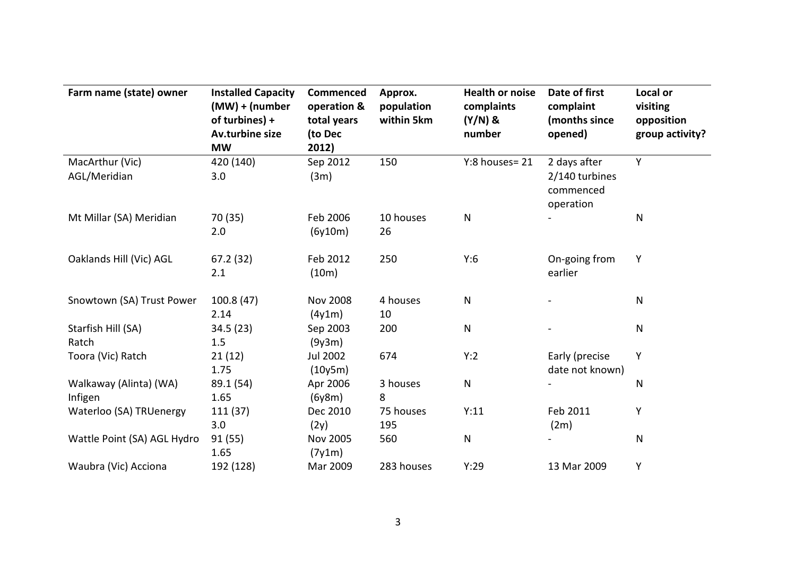| Farm name (state) owner     | <b>Installed Capacity</b><br>$(MW) + (number)$<br>of turbines) +<br>Av.turbine size<br><b>MW</b> | <b>Commenced</b><br>operation &<br>total years<br>(to Dec<br>2012) | Approx.<br>population<br>within 5km | <b>Health or noise</b><br>complaints<br>$(Y/N)$ &<br>number | Date of first<br>complaint<br>(months since<br>opened) | Local or<br>visiting<br>opposition<br>group activity? |
|-----------------------------|--------------------------------------------------------------------------------------------------|--------------------------------------------------------------------|-------------------------------------|-------------------------------------------------------------|--------------------------------------------------------|-------------------------------------------------------|
| MacArthur (Vic)             | 420 (140)                                                                                        | Sep 2012                                                           | 150                                 | Y:8 houses=21                                               | 2 days after                                           | Y                                                     |
| AGL/Meridian                | 3.0                                                                                              | (3m)                                                               |                                     |                                                             | 2/140 turbines<br>commenced<br>operation               |                                                       |
| Mt Millar (SA) Meridian     | 70 (35)                                                                                          | Feb 2006                                                           | 10 houses                           | $\mathsf{N}$                                                |                                                        | N                                                     |
|                             | 2.0                                                                                              | (6y10m)                                                            | 26                                  |                                                             |                                                        |                                                       |
| Oaklands Hill (Vic) AGL     | 67.2(32)                                                                                         | Feb 2012                                                           | 250                                 | Y:6                                                         | On-going from                                          | Y                                                     |
|                             | 2.1                                                                                              | (10m)                                                              |                                     |                                                             | earlier                                                |                                                       |
| Snowtown (SA) Trust Power   | 100.8(47)                                                                                        | <b>Nov 2008</b>                                                    | 4 houses                            | $\mathsf{N}$                                                |                                                        | N                                                     |
|                             | 2.14                                                                                             | (4y1m)                                                             | 10                                  |                                                             |                                                        |                                                       |
| Starfish Hill (SA)          | 34.5 (23)                                                                                        | Sep 2003                                                           | 200                                 | N                                                           |                                                        | N                                                     |
| Ratch                       | 1.5                                                                                              | (9y3m)                                                             |                                     |                                                             |                                                        |                                                       |
| Toora (Vic) Ratch           | 21(12)                                                                                           | <b>Jul 2002</b>                                                    | 674                                 | Y:2                                                         | Early (precise                                         | Y                                                     |
|                             | 1.75                                                                                             | (10y5m)                                                            |                                     |                                                             | date not known)                                        |                                                       |
| Walkaway (Alinta) (WA)      | 89.1 (54)                                                                                        | Apr 2006                                                           | 3 houses                            | ${\sf N}$                                                   |                                                        | N                                                     |
| Infigen                     | 1.65                                                                                             | (6y8m)                                                             | 8                                   |                                                             |                                                        |                                                       |
| Waterloo (SA) TRUenergy     | 111 (37)                                                                                         | Dec 2010                                                           | 75 houses                           | Y:11                                                        | Feb 2011                                               | Υ                                                     |
|                             | 3.0                                                                                              | (2y)                                                               | 195                                 |                                                             | (2m)                                                   |                                                       |
| Wattle Point (SA) AGL Hydro | 91 (55)<br>1.65                                                                                  | <b>Nov 2005</b><br>(7y1m)                                          | 560                                 | ${\sf N}$                                                   |                                                        | N                                                     |
| Waubra (Vic) Acciona        | 192 (128)                                                                                        | Mar 2009                                                           | 283 houses                          | Y:29                                                        | 13 Mar 2009                                            | Y                                                     |
|                             |                                                                                                  |                                                                    |                                     |                                                             |                                                        |                                                       |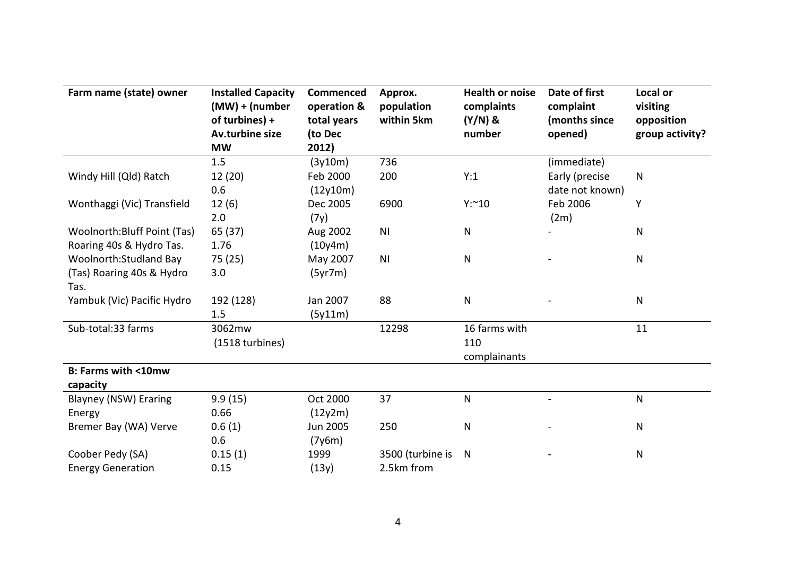| Farm name (state) owner       | <b>Installed Capacity</b><br>(MW) + (number<br>of turbines) +<br>Av.turbine size<br><b>MW</b> | <b>Commenced</b><br>operation &<br>total years<br>(to Dec<br>2012) | Approx.<br>population<br>within 5km | <b>Health or noise</b><br>complaints<br>$(Y/N)$ &<br>number | Date of first<br>complaint<br>(months since<br>opened) | Local or<br>visiting<br>opposition<br>group activity? |
|-------------------------------|-----------------------------------------------------------------------------------------------|--------------------------------------------------------------------|-------------------------------------|-------------------------------------------------------------|--------------------------------------------------------|-------------------------------------------------------|
|                               | 1.5                                                                                           | (3y10m)                                                            | 736                                 |                                                             | (immediate)                                            |                                                       |
| Windy Hill (Qld) Ratch        | 12(20)<br>0.6                                                                                 | Feb 2000<br>(12y10m)                                               | 200                                 | Y:1                                                         | Early (precise<br>date not known)                      | $\mathsf{N}$                                          |
| Wonthaggi (Vic) Transfield    | 12(6)<br>2.0                                                                                  | Dec 2005<br>(7y)                                                   | 6900                                | Y:~10                                                       | Feb 2006<br>(2m)                                       | Υ                                                     |
| Woolnorth: Bluff Point (Tas)  | 65 (37)                                                                                       | Aug 2002                                                           | N <sub>1</sub>                      | ${\sf N}$                                                   |                                                        | ${\sf N}$                                             |
| Roaring 40s & Hydro Tas.      | 1.76                                                                                          | (10y4m)                                                            |                                     |                                                             |                                                        |                                                       |
| Woolnorth: Studland Bay       | 75 (25)                                                                                       | May 2007                                                           | N <sub>1</sub>                      | $\mathsf{N}$                                                |                                                        | $\mathsf{N}$                                          |
| (Tas) Roaring 40s & Hydro     | 3.0                                                                                           | (5yr7m)                                                            |                                     |                                                             |                                                        |                                                       |
| Tas.                          |                                                                                               |                                                                    |                                     |                                                             |                                                        |                                                       |
| Yambuk (Vic) Pacific Hydro    | 192 (128)                                                                                     | Jan 2007                                                           | 88                                  | ${\sf N}$                                                   |                                                        | $\mathsf{N}$                                          |
|                               | 1.5                                                                                           | (5y11m)                                                            |                                     |                                                             |                                                        |                                                       |
| Sub-total:33 farms            | 3062mw<br>(1518 turbines)                                                                     |                                                                    | 12298                               | 16 farms with<br>110<br>complainants                        |                                                        | 11                                                    |
| <b>B: Farms with &lt;10mw</b> |                                                                                               |                                                                    |                                     |                                                             |                                                        |                                                       |
| capacity                      |                                                                                               |                                                                    |                                     |                                                             |                                                        |                                                       |
| <b>Blayney (NSW) Eraring</b>  | 9.9(15)                                                                                       | Oct 2000                                                           | 37                                  | ${\sf N}$                                                   | $\sim$                                                 | $\mathsf{N}$                                          |
| Energy                        | 0.66                                                                                          | (12y2m)                                                            |                                     |                                                             |                                                        |                                                       |
| Bremer Bay (WA) Verve         | 0.6(1)                                                                                        | <b>Jun 2005</b>                                                    | 250                                 | N                                                           |                                                        | $\mathsf{N}$                                          |
|                               | 0.6                                                                                           | (7y6m)                                                             |                                     |                                                             |                                                        |                                                       |
| Coober Pedy (SA)              | 0.15(1)                                                                                       | 1999                                                               | 3500 (turbine is                    | N                                                           |                                                        | $\mathsf{N}$                                          |
| <b>Energy Generation</b>      | 0.15                                                                                          | (13y)                                                              | 2.5km from                          |                                                             |                                                        |                                                       |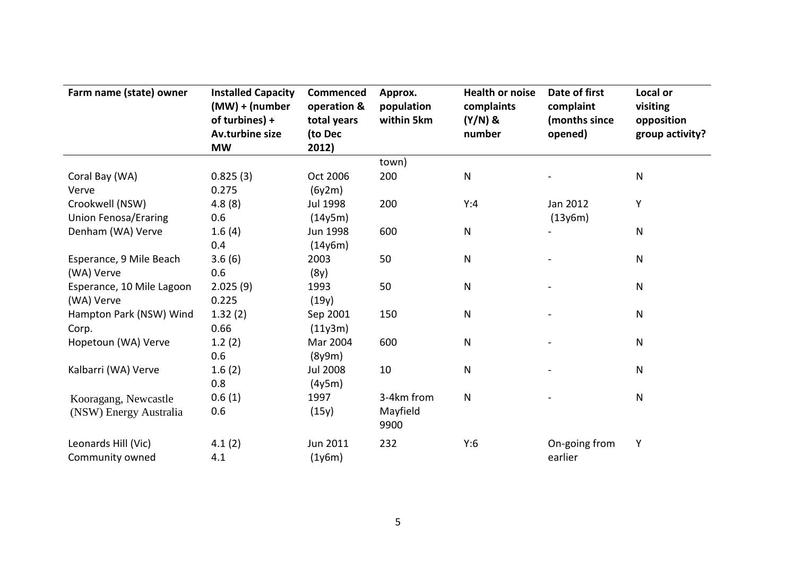| Farm name (state) owner     | <b>Installed Capacity</b><br>$(MW) + (number)$<br>of turbines) +<br>Av.turbine size<br><b>MW</b> | <b>Commenced</b><br>operation &<br>total years<br>(to Dec<br>2012) | Approx.<br>population<br>within 5km | <b>Health or noise</b><br>complaints<br>$(Y/N)$ &<br>number | Date of first<br>complaint<br>(months since<br>opened) | Local or<br>visiting<br>opposition<br>group activity? |
|-----------------------------|--------------------------------------------------------------------------------------------------|--------------------------------------------------------------------|-------------------------------------|-------------------------------------------------------------|--------------------------------------------------------|-------------------------------------------------------|
|                             |                                                                                                  |                                                                    | town)                               |                                                             |                                                        |                                                       |
| Coral Bay (WA)              | 0.825(3)                                                                                         | Oct 2006                                                           | 200                                 | ${\sf N}$                                                   |                                                        | ${\sf N}$                                             |
| Verve                       | 0.275                                                                                            | (6y2m)                                                             |                                     |                                                             |                                                        |                                                       |
| Crookwell (NSW)             | 4.8(8)                                                                                           | Jul 1998                                                           | 200                                 | Y:4                                                         | Jan 2012                                               | Υ                                                     |
| <b>Union Fenosa/Eraring</b> | 0.6                                                                                              | (14y5m)                                                            |                                     |                                                             | (13y6m)                                                |                                                       |
| Denham (WA) Verve           | 1.6(4)                                                                                           | Jun 1998                                                           | 600                                 | $\mathsf{N}$                                                |                                                        | N                                                     |
|                             | 0.4                                                                                              | (14y6m)                                                            |                                     |                                                             |                                                        |                                                       |
| Esperance, 9 Mile Beach     | 3.6(6)                                                                                           | 2003                                                               | 50                                  | ${\sf N}$                                                   |                                                        | $\mathsf{N}$                                          |
| (WA) Verve                  | 0.6                                                                                              | (8y)                                                               |                                     |                                                             |                                                        |                                                       |
| Esperance, 10 Mile Lagoon   | 2.025(9)                                                                                         | 1993                                                               | 50                                  | ${\sf N}$                                                   |                                                        | $\mathsf{N}$                                          |
| (WA) Verve                  | 0.225                                                                                            | (19y)                                                              |                                     |                                                             |                                                        |                                                       |
| Hampton Park (NSW) Wind     | 1.32(2)                                                                                          | Sep 2001                                                           | 150                                 | ${\sf N}$                                                   |                                                        | N                                                     |
| Corp.                       | 0.66                                                                                             | (11y3m)                                                            |                                     |                                                             |                                                        |                                                       |
| Hopetoun (WA) Verve         | 1.2(2)                                                                                           | Mar 2004                                                           | 600                                 | ${\sf N}$                                                   |                                                        | $\mathsf{N}$                                          |
|                             | 0.6                                                                                              | (8y9m)                                                             |                                     |                                                             |                                                        |                                                       |
| Kalbarri (WA) Verve         | 1.6(2)                                                                                           | <b>Jul 2008</b>                                                    | 10                                  | ${\sf N}$                                                   |                                                        | ${\sf N}$                                             |
|                             | 0.8                                                                                              | (4y5m)                                                             |                                     |                                                             |                                                        |                                                       |
| Kooragang, Newcastle        | 0.6(1)                                                                                           | 1997                                                               | 3-4km from                          | $\mathsf{N}$                                                |                                                        | ${\sf N}$                                             |
| (NSW) Energy Australia      | 0.6                                                                                              | (15y)                                                              | Mayfield                            |                                                             |                                                        |                                                       |
|                             |                                                                                                  |                                                                    | 9900                                |                                                             |                                                        |                                                       |
| Leonards Hill (Vic)         | 4.1(2)                                                                                           | Jun 2011                                                           | 232                                 | Y:6                                                         | On-going from                                          | Υ                                                     |
| Community owned             | 4.1                                                                                              | (1y6m)                                                             |                                     |                                                             | earlier                                                |                                                       |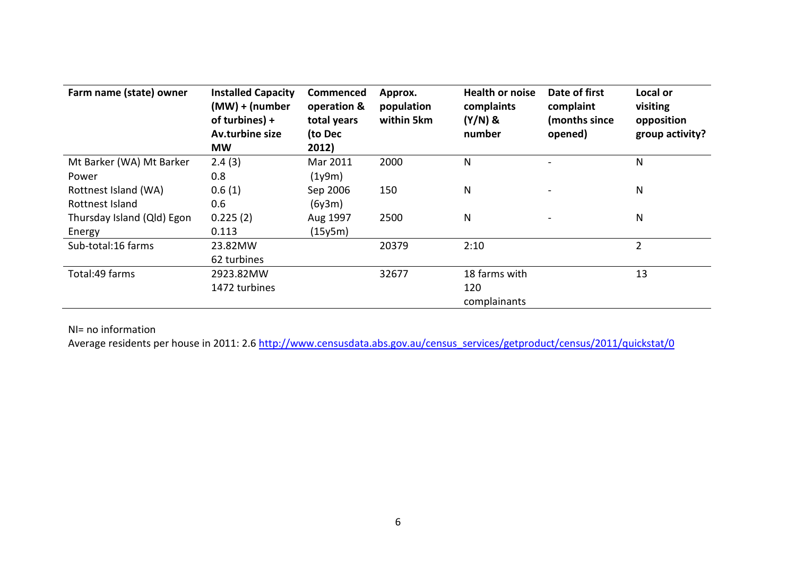| Farm name (state) owner    | <b>Installed Capacity</b><br>$(MW) + (number)$<br>of turbines) +<br>Av.turbine size<br><b>MW</b> | Commenced<br>operation &<br>total years<br>(to Dec<br>2012) | Approx.<br>population<br>within 5km | <b>Health or noise</b><br>complaints<br>$(Y/N)$ &<br>number | Date of first<br>complaint<br>(months since<br>opened) | Local or<br>visiting<br>opposition<br>group activity? |
|----------------------------|--------------------------------------------------------------------------------------------------|-------------------------------------------------------------|-------------------------------------|-------------------------------------------------------------|--------------------------------------------------------|-------------------------------------------------------|
| Mt Barker (WA) Mt Barker   | 2.4(3)                                                                                           | Mar 2011                                                    | 2000                                | N                                                           |                                                        | $\mathsf{N}$                                          |
| Power                      | 0.8                                                                                              | (1y9m)                                                      |                                     |                                                             |                                                        |                                                       |
| Rottnest Island (WA)       | 0.6(1)                                                                                           | Sep 2006                                                    | 150                                 | N                                                           |                                                        | N                                                     |
| Rottnest Island            | 0.6                                                                                              | (6y3m)                                                      |                                     |                                                             |                                                        |                                                       |
| Thursday Island (Qld) Egon | 0.225(2)                                                                                         | Aug 1997                                                    | 2500                                | N                                                           |                                                        | $\mathsf{N}$                                          |
| Energy                     | 0.113                                                                                            | (15y5m)                                                     |                                     |                                                             |                                                        |                                                       |
| Sub-total:16 farms         | 23.82MW                                                                                          |                                                             | 20379                               | 2:10                                                        |                                                        | $\overline{2}$                                        |
|                            | 62 turbines                                                                                      |                                                             |                                     |                                                             |                                                        |                                                       |
| Total:49 farms             | 2923.82MW                                                                                        |                                                             | 32677                               | 18 farms with                                               |                                                        | 13                                                    |
|                            | 1472 turbines                                                                                    |                                                             |                                     | 120                                                         |                                                        |                                                       |
|                            |                                                                                                  |                                                             |                                     | complainants                                                |                                                        |                                                       |

NI= no information

Average residents per house in 2011: 2.[6 http://www.censusdata.abs.gov.au/census\\_services/getproduct/census/2011/quickstat/0](http://www.censusdata.abs.gov.au/census_services/getproduct/census/2011/quickstat/0)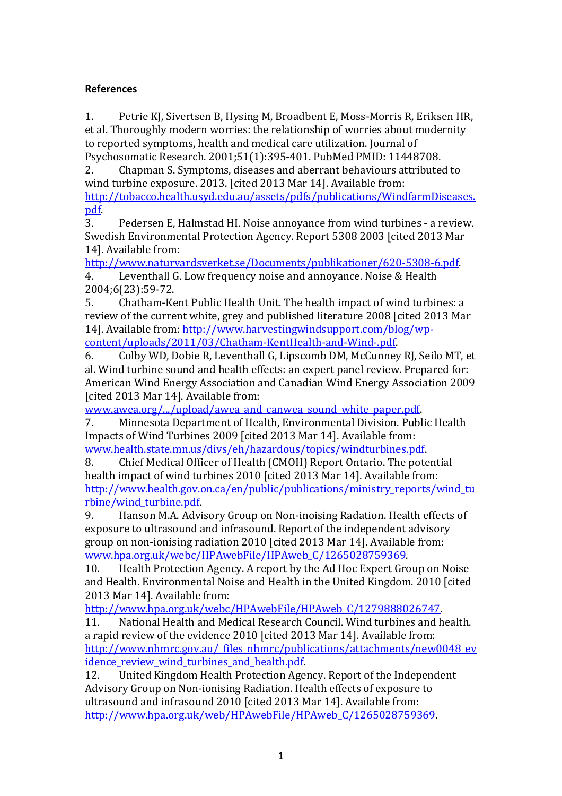# **References**

<span id="page-21-0"></span>1. Petrie KJ, Sivertsen B, Hysing M, Broadbent E, Moss-Morris R, Eriksen HR, et al. Thoroughly modern worries: the relationship of worries about modernity to reported symptoms, health and medical care utilization. Journal of

<span id="page-21-1"></span>Psychosomatic Research. 2001;51(1):395-401. PubMed PMID: 11448708. 2. Chapman S. Symptoms, diseases and aberrant behaviours attributed to wind turbine exposure. 2013. [cited 2013 Mar 14]. Available from: [http://tobacco.health.usyd.edu.au/assets/pdfs/publications/WindfarmDiseases.](http://tobacco.health.usyd.edu.au/assets/pdfs/publications/WindfarmDiseases.pdf)

<span id="page-21-2"></span> $\frac{\text{pdf}}{3}$ . 3. Pedersen E, Halmstad HI. Noise annoyance from wind turbines - a review. Swedish Environmental Protection Agency. Report 5308 2003 [cited 2013 Mar 14]. Available from:

[http://www.naturvardsverket.se/Documents/publikationer/620-5308-6.pdf.](http://www.naturvardsverket.se/Documents/publikationer/620-5308-6.pdf)<br>4. Leventhall G. Low frequency noise and annovance. Noise & Health

Leventhall G. Low frequency noise and annoyance. Noise & Health 2004;6(23):59-72.<br>5. Chatham-Ke

<span id="page-21-3"></span>5. Chatham-Kent Public Health Unit. The health impact of wind turbines: a review of the current white, grey and published literature 2008 [cited 2013 Mar 14]. Available from: [http://www.harvestingwindsupport.com/blog/wp](http://www.harvestingwindsupport.com/blog/wp-content/uploads/2011/03/Chatham-KentHealth-and-Wind-.pdf)[content/uploads/2011/03/Chatham-KentHealth-and-Wind-.pdf.](http://www.harvestingwindsupport.com/blog/wp-content/uploads/2011/03/Chatham-KentHealth-and-Wind-.pdf)

6. Colby WD, Dobie R, Leventhall G, Lipscomb DM, McCunney RJ, Seilo MT, et al. Wind turbine sound and health effects: an expert panel review. Prepared for: American Wind Energy Association and Canadian Wind Energy Association 2009 [cited 2013 Mar 14]. Available from:

www.awea.org/.../upload/awea and canwea sound white paper.pdf.<br>7. Minnesota Department of Health, Environmental Division, Publ.

7. Minnesota Department of Health, Environmental Division. Public Health Impacts of Wind Turbines 2009 [cited 2013 Mar 14]. Available from:

[www.health.state.mn.us/divs/eh/hazardous/topics/windturbines.pdf.](http://www.health.state.mn.us/divs/eh/hazardous/topics/windturbines.pdf)<br>8. Chief Medical Officer of Health (CMOH) Report Ontario. The pote 8. Chief Medical Officer of Health (CMOH) Report Ontario. The potential health impact of wind turbines 2010 [cited 2013 Mar 14]. Available from: [http://www.health.gov.on.ca/en/public/publications/ministry\\_reports/wind\\_tu](http://www.health.gov.on.ca/en/public/publications/ministry_reports/wind_turbine/wind_turbine.pdf) rbine/wind turbine.pdf.<br>9. Hanson M.A. Advi

9. Hanson M.A. Advisory Group on Non-inoising Radation. Health effects of exposure to ultrasound and infrasound. Report of the independent advisory group on non-ionising radiation 2010 [cited 2013 Mar 14]. Available from: www.hpa.org.uk/webc/HPAwebFile/HPAweb C/1265028759369.<br>10. Health Protection Agency. A report by the Ad Hoc Expert Gro

Health Protection Agency. A report by the Ad Hoc Expert Group on Noise and Health. Environmental Noise and Health in the United Kingdom. 2010 [cited 2013 Mar 14]. Available from:

http://www.hpa.org.uk/webc/HPAwebFile/HPAweb C/1279888026747.<br>11. National Health and Medical Research Council. Wind turbines and h

National Health and Medical Research Council. Wind turbines and health. a rapid review of the evidence 2010 [cited 2013 Mar 14]. Available from: [http://www.nhmrc.gov.au/\\_files\\_nhmrc/publications/attachments/new0048\\_ev](http://www.nhmrc.gov.au/_files_nhmrc/publications/attachments/new0048_evidence_review_wind_turbines_and_health.pdf) idence review wind turbines and health.pdf.<br>12. United Kingdom Health Protection Age

12. United Kingdom Health Protection Agency. Report of the Independent Advisory Group on Non-ionising Radiation. Health effects of exposure to ultrasound and infrasound 2010 [cited 2013 Mar 14]. Available from: [http://www.hpa.org.uk/web/HPAwebFile/HPAweb\\_C/1265028759369.](http://www.hpa.org.uk/web/HPAwebFile/HPAweb_C/1265028759369)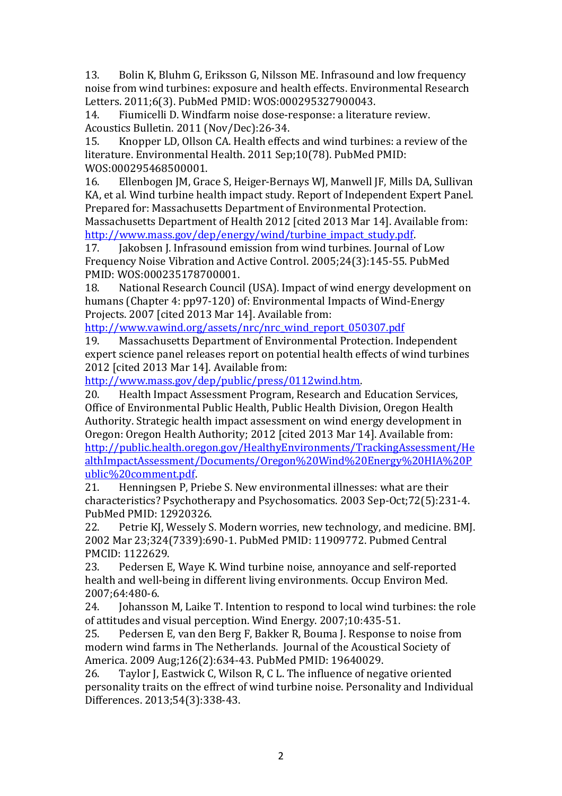13. Bolin K, Bluhm G, Eriksson G, Nilsson ME. Infrasound and low frequency noise from wind turbines: exposure and health effects. Environmental Research Letters. 2011;6(3). PubMed PMID: WOS:000295327900043.<br>14. Fiumicelli D. Windfarm noise dose-response: a literati

14. Fiumicelli D. Windfarm noise dose-response: a literature review. Acoustics Bulletin. 2011 (Nov/Dec):26-34.<br>15. Knopper LD. Ollson CA. Health effect

<span id="page-22-0"></span>Knopper LD, Ollson CA. Health effects and wind turbines: a review of the literature. Environmental Health. 2011 Sep;10(78). PubMed PMID: WOS:000295468500001.<br>16. Ellenbogen IM. Gra

16. Ellenbogen JM, Grace S, Heiger-Bernays WJ, Manwell JF, Mills DA, Sullivan KA, et al. Wind turbine health impact study. Report of Independent Expert Panel. Prepared for: Massachusetts Department of Environmental Protection. Massachusetts Department of Health 2012 [cited 2013 Mar 14]. Available from:

[http://www.mass.gov/dep/energy/wind/turbine\\_impact\\_study.pdf.](http://www.mass.gov/dep/energy/wind/turbine_impact_study.pdf)<br>17. Iakobsen I. Infrasound emission from wind turbines. Journal of Jakobsen J. Infrasound emission from wind turbines. Journal of Low Frequency Noise Vibration and Active Control. 2005;24(3):145-55. PubMed PMID: WOS:000235178700001.

National Research Council (USA). Impact of wind energy development on humans (Chapter 4: pp97-120) of: Environmental Impacts of Wind-Energy Projects. 2007 [cited 2013 Mar 14]. Available from:

[http://www.vawind.org/assets/nrc/nrc\\_wind\\_report\\_050307.pdf](http://www.vawind.org/assets/nrc/nrc_wind_report_050307.pdf)<br>19. Massachusetts Department of Environmental Protection. Inc

<span id="page-22-6"></span>Massachusetts Department of Environmental Protection. Independent expert science panel releases report on potential health effects of wind turbines 2012 [cited 2013 Mar 14]. Available from:

[http://www.mass.gov/dep/public/press/0112wind.htm.](http://www.mass.gov/dep/public/press/0112wind.htm)<br>20. Health Impact Assessment Program, Research and

20. Health Impact Assessment Program, Research and Education Services, Office of Environmental Public Health, Public Health Division, Oregon Health Authority. Strategic health impact assessment on wind energy development in Oregon: Oregon Health Authority; 2012 [cited 2013 Mar 14]. Available from: [http://public.health.oregon.gov/HealthyEnvironments/TrackingAssessment/He](http://public.health.oregon.gov/HealthyEnvironments/TrackingAssessment/HealthImpactAssessment/Documents/Oregon%20Wind%20Energy%20HIA%20Public%20comment.pdf) [althImpactAssessment/Documents/Oregon%20Wind%20Energy%20HIA%20P](http://public.health.oregon.gov/HealthyEnvironments/TrackingAssessment/HealthImpactAssessment/Documents/Oregon%20Wind%20Energy%20HIA%20Public%20comment.pdf) [ublic%20comment.pdf.](http://public.health.oregon.gov/HealthyEnvironments/TrackingAssessment/HealthImpactAssessment/Documents/Oregon%20Wind%20Energy%20HIA%20Public%20comment.pdf)<br>21. Henningsen P. Pi

<span id="page-22-1"></span>21. Henningsen P, Priebe S. New environmental illnesses: what are their characteristics? Psychotherapy and Psychosomatics. 2003 Sep-Oct;72(5):231-4. PubMed PMID: 12920326.<br>22. Petrie KI. Wesselv S

<span id="page-22-2"></span>Petrie KJ, Wessely S. Modern worries, new technology, and medicine. BMJ. 2002 Mar 23;324(7339):690-1. PubMed PMID: 11909772. Pubmed Central PMCID: 1122629.<br>23. Pedersen E

<span id="page-22-3"></span>23. Pedersen E, Waye K. Wind turbine noise, annoyance and self-reported health and well-being in different living environments. Occup Environ Med. 2007;64:480-6.

<span id="page-22-4"></span>Johansson M, Laike T. Intention to respond to local wind turbines: the role of attitudes and visual perception. Wind Energy. 2007;10:435-51.<br>25. Pedersen E. van den Berg F. Bakker R. Bouma I. Response to

<span id="page-22-5"></span>25. Pedersen E, van den Berg F, Bakker R, Bouma J. Response to noise from modern wind farms in The Netherlands. Journal of the Acoustical Society of America. 2009 Aug;126(2):634-43. PubMed PMID: 19640029.

<span id="page-22-7"></span>26. Taylor J, Eastwick C, Wilson R, C L. The influence of negative oriented personality traits on the effrect of wind turbine noise. Personality and Individual Differences. 2013;54(3):338-43.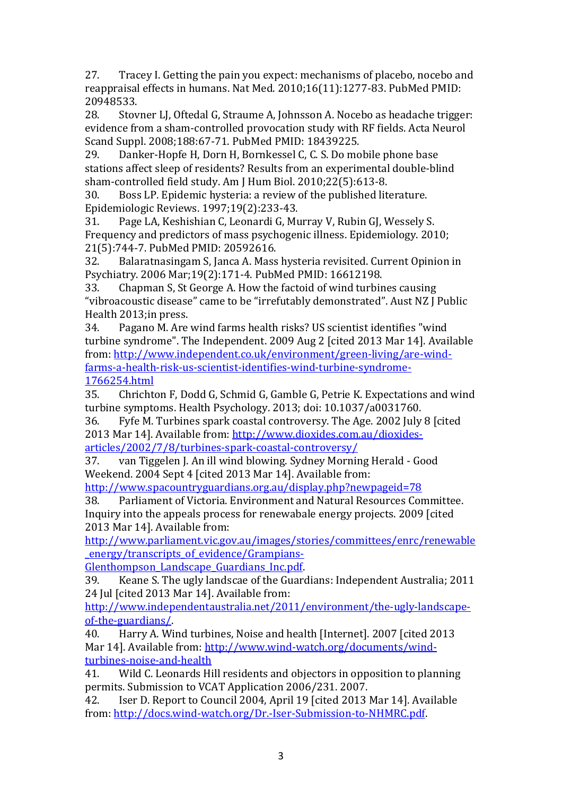<span id="page-23-0"></span>27. Tracey I. Getting the pain you expect: mechanisms of placebo, nocebo and reappraisal effects in humans. Nat Med. 2010;16(11):1277-83. PubMed PMID: 20948533.<br>28. Stov

<span id="page-23-1"></span>Stovner LJ, Oftedal G, Straume A, Johnsson A. Nocebo as headache trigger: evidence from a sham-controlled provocation study with RF fields. Acta Neurol Scand Suppl. 2008;188:67-71. PubMed PMID: 18439225.<br>29. Danker-Hopfe H. Dorn H. Bornkessel C. C. S. Do mo

<span id="page-23-2"></span>Danker-Hopfe H, Dorn H, Bornkessel C, C. S. Do mobile phone base stations affect sleep of residents? Results from an experimental double-blind sham-controlled field study. Am J Hum Biol. 2010;22(5):613-8.<br>30. Boss LP. Epidemic hysteria: a review of the published lite

<span id="page-23-3"></span>Boss LP. Epidemic hysteria: a review of the published literature. Epidemiologic Reviews. 1997;19(2):233-43.<br>31. Page LA, Keshishian C, Leonardi G, Mu

31. Page LA, Keshishian C, Leonardi G, Murray V, Rubin GJ, Wessely S. Frequency and predictors of mass psychogenic illness. Epidemiology. 2010; 21(5):744-7. PubMed PMID: 20592616.

Balaratnasingam S, Janca A. Mass hysteria revisited. Current Opinion in Psychiatry. 2006 Mar;19(2):171-4. PubMed PMID: 16612198.

<span id="page-23-4"></span>33. Chapman S, St George A. How the factoid of wind turbines causing "vibroacoustic disease" came to be "irrefutably demonstrated". Aust NZ J Public Health 2013; in press.<br>34. Pagano M. Are

<span id="page-23-5"></span>34. Pagano M. Are wind farms health risks? US scientist identifies "wind turbine syndrome". The Independent. 2009 Aug 2 [cited 2013 Mar 14]. Available from: [http://www.independent.co.uk/environment/green-living/are-wind](http://www.independent.co.uk/environment/green-living/are-wind-farms-a-health-risk-us-scientist-identifies-wind-turbine-syndrome-1766254.html)[farms-a-health-risk-us-scientist-identifies-wind-turbine-syndrome-](http://www.independent.co.uk/environment/green-living/are-wind-farms-a-health-risk-us-scientist-identifies-wind-turbine-syndrome-1766254.html)[1766254.html](http://www.independent.co.uk/environment/green-living/are-wind-farms-a-health-risk-us-scientist-identifies-wind-turbine-syndrome-1766254.html)<br>35. Chrichto

<span id="page-23-6"></span>35. Chrichton F, Dodd G, Schmid G, Gamble G, Petrie K. Expectations and wind turbine symptoms. Health Psychology. 2013; doi: 10.1037/a0031760.<br>36. Fyfe M. Turbines spark coastal controversy. The Age. 2002 July

<span id="page-23-7"></span>Fyfe M. Turbines spark coastal controversy. The Age. 2002 July 8 [cited] 2013 Mar 14]. Available from: [http://www.dioxides.com.au/dioxides-](http://www.dioxides.com.au/dioxides-articles/2002/7/8/turbines-spark-coastal-controversy/)

<span id="page-23-8"></span>[articles/2002/7/8/turbines-spark-coastal-controversy/](http://www.dioxides.com.au/dioxides-articles/2002/7/8/turbines-spark-coastal-controversy/)<br>37. van Tiggelen J. An ill wind blowing. Sydney Mornir 37. van Tiggelen J. An ill wind blowing. Sydney Morning Herald - Good Weekend. 2004 Sept 4 [cited 2013 Mar 14]. Available from:

<span id="page-23-9"></span>

<http://www.spacountryguardians.org.au/display.php?newpageid=78><br>38. Parliament of Victoria. Environment and Natural Resources Cor 38. Parliament of Victoria. Environment and Natural Resources Committee. Inquiry into the appeals process for renewabale energy projects. 2009 [cited 2013 Mar 14]. Available from:

[http://www.parliament.vic.gov.au/images/stories/committees/enrc/renewable](http://www.parliament.vic.gov.au/images/stories/committees/enrc/renewable_energy/transcripts_of_evidence/Grampians-Glenthompson_Landscape_Guardians_Inc.pdf) [\\_energy/transcripts\\_of\\_evidence/Grampians-](http://www.parliament.vic.gov.au/images/stories/committees/enrc/renewable_energy/transcripts_of_evidence/Grampians-Glenthompson_Landscape_Guardians_Inc.pdf)

Glenthompson Landscape Guardians Inc.pdf.<br>39. Keane S. The ugly landscae of the Guard

<span id="page-23-10"></span>39. Keane S. The ugly landscae of the Guardians: Independent Australia; 2011 24 Jul [cited 2013 Mar 14]. Available from:

[http://www.independentaustralia.net/2011/environment/the-ugly-landscape](http://www.independentaustralia.net/2011/environment/the-ugly-landscape-of-the-guardians/)[of-the-guardians/.](http://www.independentaustralia.net/2011/environment/the-ugly-landscape-of-the-guardians/)<br>40. Harry A. Wi

<span id="page-23-11"></span>40. Harry A. Wind turbines, Noise and health [Internet]. 2007 [cited 2013 Mar 14]. Available from: [http://www.wind-watch.org/documents/wind](http://www.wind-watch.org/documents/wind-turbines-noise-and-health)[turbines-noise-and-health](http://www.wind-watch.org/documents/wind-turbines-noise-and-health)<br>41. Wild C. Leonards Hi

<span id="page-23-12"></span>Wild C. Leonards Hill residents and objectors in opposition to planning permits. Submission to VCAT Application 2006/231. 2007.

<span id="page-23-13"></span>42. Iser D. Report to Council 2004, April 19 [cited 2013 Mar 14]. Available from: [http://docs.wind-watch.org/Dr.-Iser-Submission-to-NHMRC.pdf.](http://docs.wind-watch.org/Dr.-Iser-Submission-to-NHMRC.pdf)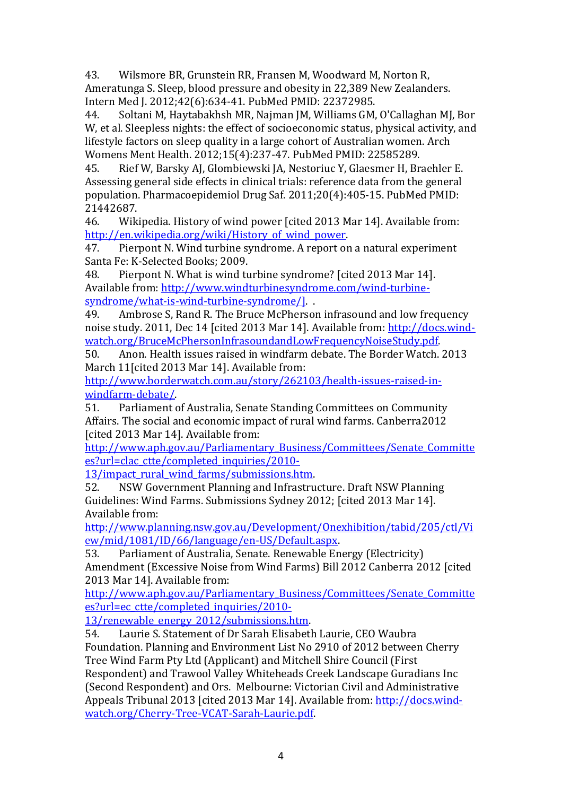<span id="page-24-0"></span>43. Wilsmore BR, Grunstein RR, Fransen M, Woodward M, Norton R, Ameratunga S. Sleep, blood pressure and obesity in 22,389 New Zealanders. Intern Med J. 2012;42(6):634-41. PubMed PMID: 22372985.

<span id="page-24-1"></span>44. Soltani M, Haytabakhsh MR, Najman JM, Williams GM, O'Callaghan MJ, Bor W, et al. Sleepless nights: the effect of socioeconomic status, physical activity, and lifestyle factors on sleep quality in a large cohort of Australian women. Arch Womens Ment Health. 2012;15(4):237-47. PubMed PMID: 22585289.<br>45. Nief W. Barsky AJ. Glombiewski JA. Nestoriuc Y. Glaesmer H. Br

<span id="page-24-2"></span>45. Rief W, Barsky AJ, Glombiewski JA, Nestoriuc Y, Glaesmer H, Braehler E. Assessing general side effects in clinical trials: reference data from the general population. Pharmacoepidemiol Drug Saf. 2011;20(4):405-15. PubMed PMID: 21442687.<br>46. Wik

<span id="page-24-3"></span>Wikipedia. History of wind power [cited 2013 Mar 14]. Available from: http://en.wikipedia.org/wiki/History of wind power.<br>47. Pierpont N. Wind turbine syndrome. A report on

<span id="page-24-4"></span>Pierpont N. Wind turbine syndrome. A report on a natural experiment Santa Fe: K-Selected Books; 2009.<br>48. Pierpont N. What is wind tu

<span id="page-24-5"></span>Pierpont N. What is wind turbine syndrome? [cited 2013 Mar 14]. Available from: [http://www.windturbinesyndrome.com/wind-turbine](http://www.windturbinesyndrome.com/wind-turbine-syndrome/what-is-wind-turbine-syndrome/%5d)[syndrome/what-is-wind-turbine-syndrome/\].](http://www.windturbinesyndrome.com/wind-turbine-syndrome/what-is-wind-turbine-syndrome/%5d)<br>49. Ambrose S. Rand R. The Bruce McPherson

<span id="page-24-6"></span>Ambrose S, Rand R. The Bruce McPherson infrasound and low frequency noise study. 2011, Dec 14 [cited 2013 Mar 14]. Available from: [http://docs.wind](http://docs.wind-watch.org/BruceMcPhersonInfrasoundandLowFrequencyNoiseStudy.pdf)[watch.org/BruceMcPhersonInfrasoundandLowFrequencyNoiseStudy.pdf.](http://docs.wind-watch.org/BruceMcPhersonInfrasoundandLowFrequencyNoiseStudy.pdf)<br>50. Anon. Health issues raised in windfarm debate. The Border Watch.

<span id="page-24-7"></span>50. Anon. Health issues raised in windfarm debate. The Border Watch. 2013 March 11 [cited 2013 Mar 14]. Available from:

[http://www.borderwatch.com.au/story/262103/health-issues-raised-in](http://www.borderwatch.com.au/story/262103/health-issues-raised-in-windfarm-debate/)windfarm-debate/<br>51. Parliament o

<span id="page-24-8"></span>Parliament of Australia, Senate Standing Committees on Community Affairs. The social and economic impact of rural wind farms. Canberra2012 [cited 2013 Mar 14]. Available from:

[http://www.aph.gov.au/Parliamentary\\_Business/Committees/Senate\\_Committe](http://www.aph.gov.au/Parliamentary_Business/Committees/Senate_Committees?url=clac_ctte/completed_inquiries/2010-13/impact_rural_wind_farms/submissions.htm) [es?url=clac\\_ctte/completed\\_inquiries/2010-](http://www.aph.gov.au/Parliamentary_Business/Committees/Senate_Committees?url=clac_ctte/completed_inquiries/2010-13/impact_rural_wind_farms/submissions.htm)

13/impact rural wind farms/submissions.htm.<br>52. NSW Government Planning and Infrastru

<span id="page-24-9"></span>52. NSW Government Planning and Infrastructure. Draft NSW Planning Guidelines: Wind Farms. Submissions Sydney 2012; [cited 2013 Mar 14]. Available from:

[http://www.planning.nsw.gov.au/Development/Onexhibition/tabid/205/ctl/Vi](http://www.planning.nsw.gov.au/Development/Onexhibition/tabid/205/ctl/View/mid/1081/ID/66/language/en-US/Default.aspx) [ew/mid/1081/ID/66/language/en-US/Default.aspx.](http://www.planning.nsw.gov.au/Development/Onexhibition/tabid/205/ctl/View/mid/1081/ID/66/language/en-US/Default.aspx)<br>53. Parliament of Australia. Senate. Renewable En

<span id="page-24-10"></span>53. Parliament of Australia, Senate. Renewable Energy (Electricity) Amendment (Excessive Noise from Wind Farms) Bill 2012 Canberra 2012 [cited 2013 Mar 14]. Available from:

[http://www.aph.gov.au/Parliamentary\\_Business/Committees/Senate\\_Committe](http://www.aph.gov.au/Parliamentary_Business/Committees/Senate_Committees?url=ec_ctte/completed_inquiries/2010-13/renewable_energy_2012/submissions.htm) [es?url=ec\\_ctte/completed\\_inquiries/2010-](http://www.aph.gov.au/Parliamentary_Business/Committees/Senate_Committees?url=ec_ctte/completed_inquiries/2010-13/renewable_energy_2012/submissions.htm)

[13/renewable\\_energy\\_2012/submissions.htm.](http://www.aph.gov.au/Parliamentary_Business/Committees/Senate_Committees?url=ec_ctte/completed_inquiries/2010-13/renewable_energy_2012/submissions.htm)<br>54. Laurie S. Statement of Dr Sarah Elisabeth.

<span id="page-24-11"></span>54. Laurie S. Statement of Dr Sarah Elisabeth Laurie, CEO Waubra Foundation. Planning and Environment List No 2910 of 2012 between Cherry Tree Wind Farm Pty Ltd (Applicant) and Mitchell Shire Council (First

Respondent) and Trawool Valley Whiteheads Creek Landscape Guradians Inc (Second Respondent) and Ors. Melbourne: Victorian Civil and Administrative Appeals Tribunal 2013 [cited 2013 Mar 14]. Available from: [http://docs.wind](http://docs.wind-watch.org/Cherry-Tree-VCAT-Sarah-Laurie.pdf)[watch.org/Cherry-Tree-VCAT-Sarah-Laurie.pdf.](http://docs.wind-watch.org/Cherry-Tree-VCAT-Sarah-Laurie.pdf)